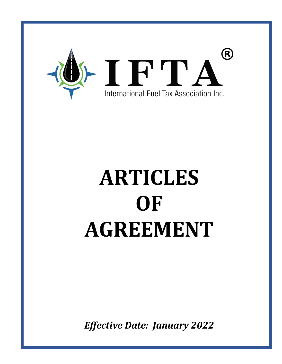

# **ARTICLES OF AGREEMENT**

*Effective Date: January 2022*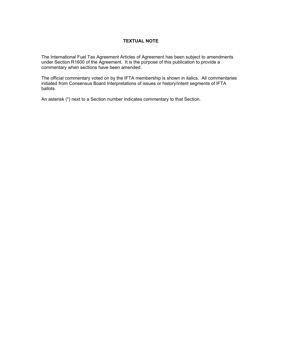# **TEXTUAL NOTE**

The International Fuel Tax Agreement Articles of Agreement has been subject to amendments under Section R1600 of the Agreement. It is the purpose of this publication to provide a commentary when sections have been amended.

The official commentary voted on by the IFTA membership is shown in italics. All commentaries initiated from Consensus Board Interpretations of issues or history/intent segments of IFTA ballots.

An asterisk (\*) next to a Section number indicates commentary to that Section.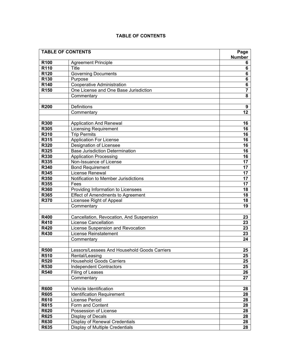| <b>TABLE OF CONTENTS</b> |                                              | Page             |
|--------------------------|----------------------------------------------|------------------|
|                          |                                              | <b>Number</b>    |
| R <sub>100</sub>         | <b>Agreement Principle</b>                   | 6                |
| R110                     | <b>Title</b>                                 | 6                |
| R120                     | Governing Documents                          | 6                |
| R130                     | Purpose                                      | 6                |
| R140                     | <b>Cooperative Administration</b>            | 6                |
| R <sub>150</sub>         | One License and One Base Jurisdiction        | $\overline{7}$   |
|                          | Commentary                                   | 8                |
|                          |                                              |                  |
| <b>R200</b>              | Definitions                                  | $\boldsymbol{9}$ |
|                          | Commentary                                   | 12               |
|                          |                                              |                  |
| <b>R300</b>              | <b>Application And Renewal</b>               | 16               |
| R305                     | Licensing Requirement                        | 16               |
| R310                     | <b>Trip Permits</b>                          | 16               |
| R315                     | <b>Application For License</b>               | 16               |
| R320                     | Designation of Licensee                      | 16               |
| R325                     | <b>Base Jurisdiction Determination</b>       | 16               |
| R330                     | <b>Application Processing</b>                | 16               |
| R335                     | Non-Issuance of License                      | 17               |
| R340                     | <b>Bond Requirement</b>                      | 17               |
| R345                     | License Renewal                              | 17               |
| <b>R350</b>              | Notification to Member Jurisdictions         | 17               |
| R355                     | Fees                                         | 17               |
| R360                     | Providing Information to Licensees           | 18               |
| R365                     | Effect of Amendments to Agreement            | 18               |
| <b>R370</b>              | Licensee Right of Appeal                     | 18               |
|                          | Commentary                                   | 19               |
|                          |                                              |                  |
| <b>R400</b>              | Cancellation, Revocation, And Suspension     | 23               |
| R410                     | <b>License Cancellation</b>                  | 23               |
| <b>R420</b>              | License Suspension and Revocation            | 23               |
| R430                     | License Reinstatement                        | 23               |
|                          | Commentary                                   | 24               |
|                          |                                              |                  |
| <b>R500</b>              | Lessors/Lessees And Household Goods Carriers | 25               |
| <b>R510</b>              | Rental/Leasing                               | 25               |
| <b>R520</b>              | <b>Household Goods Carriers</b>              | 25               |
| <b>R530</b>              | <b>Independent Contractors</b>               | 25               |
| <b>R540</b>              | Filing of Leases                             | 26               |
|                          | Commentary                                   | 27               |
|                          |                                              |                  |
| <b>R600</b>              | Vehicle Identification                       | 28               |
| <b>R605</b>              |                                              | 28               |
|                          | <b>Identification Requirement</b>            |                  |
| <b>R610</b>              | License Period                               | 28               |
| R615                     | Form and Content                             | 28               |
| <b>R620</b>              | Possession of License                        | 28               |
| R625                     | Display of Decals                            | 28               |
| <b>R630</b>              | Display of Renewal Credentials               | 28               |
| R635                     | Display of Multiple Credentials              | 28               |

# **TABLE OF CONTENTS**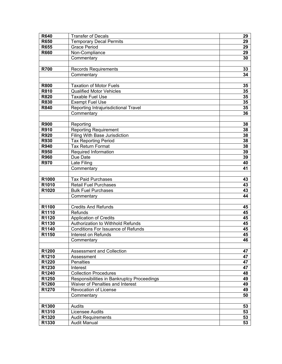| <b>R640</b> | <b>Transfer of Decals</b>                  | 29 |
|-------------|--------------------------------------------|----|
| <b>R650</b> | <b>Temporary Decal Permits</b>             | 29 |
| <b>R655</b> | <b>Grace Period</b>                        | 29 |
| <b>R660</b> | Non-Compliance                             | 29 |
|             | Commentary                                 | 30 |
|             |                                            |    |
| <b>R700</b> | <b>Records Requirements</b>                | 33 |
|             | Commentary                                 | 34 |
|             |                                            |    |
| <b>R800</b> | Taxation of Motor Fuels                    | 35 |
| <b>R810</b> | <b>Qualified Motor Vehicles</b>            | 35 |
| <b>R820</b> | <b>Taxable Fuel Use</b>                    | 35 |
| <b>R830</b> | <b>Exempt Fuel Use</b>                     | 35 |
| <b>R840</b> | Reporting Intrajurisdictional Travel       | 35 |
|             | Commentary                                 | 36 |
|             |                                            |    |
| <b>R900</b> | Reporting                                  | 38 |
| <b>R910</b> | <b>Reporting Requirement</b>               | 38 |
| <b>R920</b> | <b>Filing With Base Jurisdiction</b>       | 38 |
| <b>R930</b> | <b>Tax Reporting Period</b>                | 38 |
| <b>R940</b> | <b>Tax Return Format</b>                   | 38 |
| <b>R950</b> | Required Information                       | 39 |
| <b>R960</b> | Due Date                                   | 39 |
| <b>R970</b> | Late Filing                                | 40 |
|             | Commentary                                 | 41 |
|             |                                            |    |
| R1000       | <b>Tax Paid Purchases</b>                  | 43 |
| R1010       | <b>Retail Fuel Purchases</b>               | 43 |
| R1020       | <b>Bulk Fuel Purchases</b>                 | 43 |
|             | Commentary                                 | 44 |
|             |                                            |    |
| R1100       | <b>Credits And Refunds</b>                 | 45 |
| R1110       | <b>Refunds</b>                             | 45 |
| R1120       | <b>Application of Credits</b>              | 45 |
| R1130       | Authorization to Withhold Refunds          | 45 |
| R1140       | <b>Conditions For Issuance of Refunds</b>  | 45 |
| R1150       | Interest on Refunds                        | 45 |
|             | Commentary                                 | 46 |
|             |                                            |    |
| R1200       | <b>Assessment and Collection</b>           | 47 |
| R1210       | Assessment                                 | 47 |
| R1220       | <b>Penalties</b>                           | 47 |
| R1230       | Interest                                   | 47 |
| R1240       | <b>Collection Procedures</b>               | 48 |
| R1250       | Responsibilities in Bankruptcy Proceedings | 49 |
| R1260       | Waiver of Penalties and Interest           | 49 |
| R1270       | Revocation of License                      | 49 |
|             | Commentary                                 | 50 |
|             |                                            |    |
| R1300       | Audits                                     | 53 |
| R1310       | Licensee Audits                            | 53 |
| R1320       | <b>Audit Requirements</b>                  | 53 |
| R1330       | <b>Audit Manual</b>                        | 53 |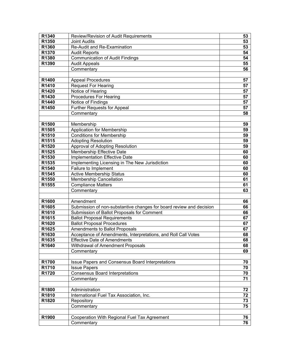| R1340             | Review/Revision of Audit Requirements                               | 53 |
|-------------------|---------------------------------------------------------------------|----|
| R1350             | <b>Joint Audits</b>                                                 | 53 |
| R1360             | Re-Audit and Re-Examination                                         | 53 |
| R1370             | <b>Audit Reports</b>                                                | 54 |
| R1380             | <b>Communication of Audit Findings</b>                              | 54 |
| R1390             | <b>Audit Appeals</b>                                                | 55 |
|                   | Commentary                                                          | 56 |
|                   |                                                                     |    |
| R1400             | <b>Appeal Procedures</b>                                            | 57 |
| R <sub>1410</sub> | <b>Request For Hearing</b>                                          | 57 |
| R1420             | Notice of Hearing                                                   | 57 |
| R1430             | <b>Procedures For Hearing</b>                                       | 57 |
| R1440             | Notice of Findings                                                  | 57 |
| R1450             | <b>Further Requests for Appeal</b>                                  | 57 |
|                   | Commentary                                                          | 58 |
|                   |                                                                     |    |
| R1500             | Membership                                                          | 59 |
| R1505             | <b>Application for Membership</b>                                   | 59 |
| R1510             | <b>Conditions for Membership</b>                                    | 59 |
| R1515             | <b>Adopting Resolution</b>                                          | 59 |
| R1520             | Approval of Adopting Resolution                                     | 59 |
| R1525             | Membership Effective Date                                           | 60 |
| R1530             | <b>Implementation Effective Date</b>                                | 60 |
| R1535             | Implementing Licensing in The New Jurisdiction                      | 60 |
| R1540             | Failure to Implement                                                | 60 |
| R1545             | <b>Active Membership Status</b>                                     | 60 |
| R1550             | <b>Membership Cancellation</b>                                      | 61 |
| R1555             | <b>Compliance Matters</b>                                           | 61 |
|                   | Commentary                                                          | 63 |
|                   |                                                                     |    |
| R1600             | Amendment                                                           | 66 |
| R1605             | Submission of non-substantive changes for board review and decision | 66 |
| R1610             | Submission of Ballot Proposals for Comment                          | 66 |
| R1615             | <b>Ballot Proposal Requirements</b>                                 | 67 |
| R1620             | <b>Ballot Proposal Procedures</b>                                   | 67 |
| R1625             | Amendments to Ballot Proposals                                      | 67 |
| R1630             | Acceptance of Amendments, Interpretations, and Roll Call Votes      | 68 |
| R1635             | <b>Effective Date of Amendments</b>                                 | 68 |
| R1640             | Withdrawal of Amendment Proposals                                   | 68 |
|                   | Commentary                                                          | 69 |
|                   |                                                                     |    |
| R1700             | Issue Papers and Consensus Board Interpretations                    | 70 |
| R1710             | <b>Issue Papers</b>                                                 | 70 |
| R1720             | <b>Consensus Board Interpretations</b>                              | 70 |
|                   | Commentary                                                          | 71 |
|                   |                                                                     |    |
| R1800             | Administration                                                      | 72 |
| R1810             | International Fuel Tax Association, Inc.                            | 72 |
| R1820             | Repository                                                          | 73 |
|                   | Commentary                                                          | 75 |
|                   |                                                                     |    |
| R1900             | Cooperation With Regional Fuel Tax Agreement                        | 76 |
|                   | Commentary                                                          | 76 |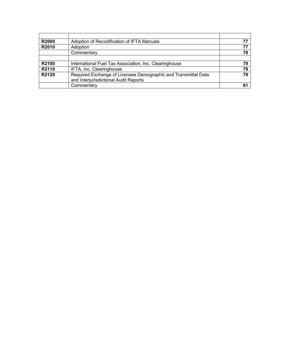| <b>R2000</b>      | Adoption of Recodification of IFTA Manuals                                                              |    |
|-------------------|---------------------------------------------------------------------------------------------------------|----|
| R2010             | Adoption                                                                                                |    |
|                   | Commentary                                                                                              | 78 |
|                   |                                                                                                         |    |
| R <sub>2100</sub> | International Fuel Tax Association, Inc. Clearinghouse                                                  | 79 |
| R2110             | IFTA, Inc. Clearinghouse                                                                                | 79 |
| R2120             | Required Exchange of Licensee Demographic and Transmittal Data<br>and Interjurisdictional Audit Reports | 79 |
|                   | Commentary                                                                                              | 81 |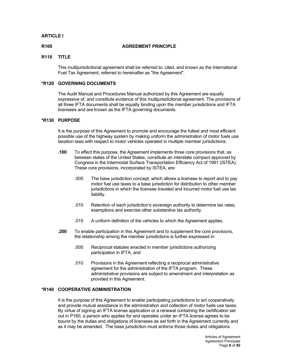# **ARTICLE I**

#### **R100 AGREEMENT PRINCIPLE**

## **R110 TITLE**

This multijurisdictional agreement shall be referred to, cited, and known as the International Fuel Tax Agreement, referred to hereinafter as "the Agreement".

# **\*R120 GOVERNING DOCUMENTS**

The Audit Manual and Procedures Manual authorized by this Agreement are equally expressive of, and constitute evidence of this multijurisdictional agreement. The provisions of all three IFTA documents shall be equally binding upon the member jurisdictions and IFTA licensees and are known as the IFTA governing documents.

#### **\*R130 PURPOSE**

It is the purpose of this Agreement to promote and encourage the fullest and most efficient possible use of the highway system by making uniform the administration of motor fuels use taxation laws with respect to motor vehicles operated in multiple member jurisdictions.

- **.100** To effect this purpose, the Agreement implements three core provisions that, as between states of the United States, constitute an interstate compact approved by Congress in the Intermodal Surface Transportation Efficiency Act of 1991 (ISTEA). These core provisions, incorporated by ISTEA, are:
	- .005 The base jurisdiction concept, which allows a licensee to report and to pay motor fuel use taxes to a base jurisdiction for distribution to other member jurisdictions in which the licensee traveled and incurred motor fuel use tax liability.
	- .010 Retention of each jurisdiction's sovereign authority to determine tax rates, exemptions and exercise other substantive tax authority.
	- .015 A uniform definition of the vehicles to which the Agreement applies.
- **.200** To enable participation in this Agreement and to supplement the core provisions, the relationship among the member jurisdictions is further expressed in:
	- .005 Reciprocal statutes enacted in member jurisdictions authorizing participation in IFTA, and
	- .010 Provisions in the Agreement reflecting a reciprocal administrative agreement for the administration of the IFTA program. These administrative provisions are subject to amendment and interpretation as provided in this Agreement.

# **\*R140 COOPERATIVE ADMINISTRATION**

It is the purpose of this Agreement to enable participating jurisdictions to act cooperatively and provide mutual assistance in the administration and collection of motor fuels use taxes. By virtue of signing an IFTA license application or a renewal containing the certification set out in P160, a person who applies for and operates under an IFTA license agrees to be bound by the duties and obligations of licensees as set forth in the Agreement currently and as it may be amended. The base jurisdiction must enforce those duties and obligations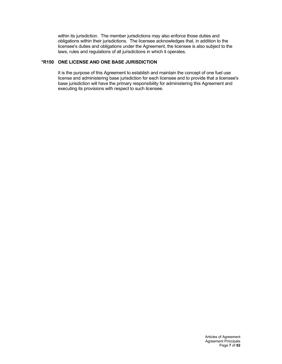within its jurisdiction. The member jurisdictions may also enforce those duties and obligations within their jurisdictions. The licensee acknowledges that, in addition to the licensee's duties and obligations under the Agreement, the licensee is also subject to the laws, rules and regulations of all jurisdictions in which it operates.

# **\*R150 ONE LICENSE AND ONE BASE JURISDICTION**

It is the purpose of this Agreement to establish and maintain the concept of one fuel use license and administering base jurisdiction for each licensee and to provide that a licensee's base jurisdiction will have the primary responsibility for administering this Agreement and executing its provisions with respect to such licensee.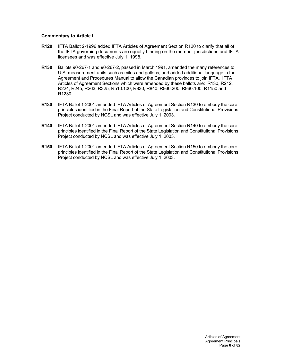# **Commentary to Article I**

- **R120** IFTA Ballot 2-1996 added IFTA Articles of Agreement Section R120 to clarify that all of the IFTA governing documents are equally binding on the member jurisdictions and IFTA licensees and was effective July 1, 1998.
- **R130** Ballots 90-267-1 and 90-267-2, passed in March 1991, amended the many references to U.S. measurement units such as miles and gallons, and added additional language in the Agreement and Procedures Manual to allow the Canadian provinces to join IFTA. IFTA Articles of Agreement Sections which were amended by these ballots are: R130, R212, R224, R245, R263, R325, R510.100, R830, R840, R930.200, R960.100, R1150 and R1230.
- **R130** IFTA Ballot 1-2001 amended IFTA Articles of Agreement Section R130 to embody the core principles identified in the Final Report of the State Legislation and Constitutional Provisions Project conducted by NCSL and was effective July 1, 2003.
- **R140** IFTA Ballot 1-2001 amended IFTA Articles of Agreement Section R140 to embody the core principles identified in the Final Report of the State Legislation and Constitutional Provisions Project conducted by NCSL and was effective July 1, 2003.
- **R150** IFTA Ballot 1-2001 amended IFTA Articles of Agreement Section R150 to embody the core principles identified in the Final Report of the State Legislation and Constitutional Provisions Project conducted by NCSL and was effective July 1, 2003.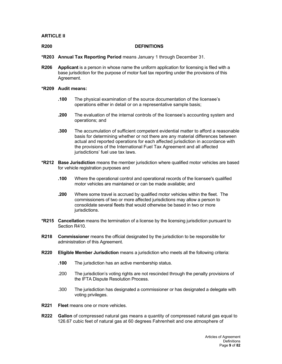# **ARTICLE II**

#### **R200 DEFINITIONS**

- **\*R203 Annual Tax Reporting Period** means January 1 through December 31.
- **R206 Applicant** is a person in whose name the uniform application for licensing is filed with a base jurisdiction for the purpose of motor fuel tax reporting under the provisions of this Agreement.

#### **\*R209 Audit means:**

- **.100** The physical examination of the source documentation of the licensee's operations either in detail or on a representative sample basis;
- **.200** The evaluation of the internal controls of the licensee's accounting system and operations; and
- **.300** The accumulation of sufficient competent evidential matter to afford a reasonable basis for determining whether or not there are any material differences between actual and reported operations for each affected jurisdiction in accordance with the provisions of the International Fuel Tax Agreement and all affected jurisdictions' fuel use tax laws.
- **\*R212 Base Jurisdiction** means the member jurisdiction where qualified motor vehicles are based for vehicle registration purposes and
	- **.100** Where the operational control and operational records of the licensee's qualified motor vehicles are maintained or can be made available; and
	- **.200** Where some travel is accrued by qualified motor vehicles within the fleet. The commissioners of two or more affected jurisdictions may allow a person to consolidate several fleets that would otherwise be based in two or more jurisdictions.
- **\*R215 Cancellation** means the termination of a license by the licensing jurisdiction pursuant to Section R410.
- **R218 Commissioner** means the official designated by the jurisdiction to be responsible for administration of this Agreement.
- **R220 Eligible Member Jurisdiction** means a jurisdiction who meets all the following criteria:
	- **.100** The jurisdiction has an active membership status.
	- .200 The jurisdiction's voting rights are not rescinded through the penalty provisions of the IFTA Dispute Resolution Process.
	- .300 The jurisdiction has designated a commissioner or has designated a delegate with voting privileges.
- **R221 Fleet** means one or more vehicles.
- **R222 Gallon** of compressed natural gas means a quantity of compressed natural gas equal to 126.67 cubic feet of natural gas at 60 degrees Fahrenheit and one atmosphere of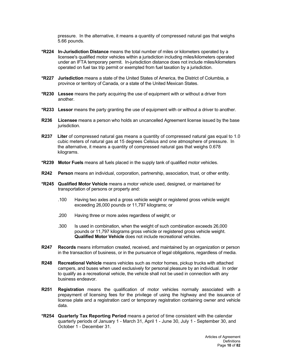pressure. In the alternative, it means a quantity of compressed natural gas that weighs 5.66 pounds.

- **\*R224 In-Jurisdiction Distance** means the total number of miles or kilometers operated by a licensee's qualified motor vehicles within a jurisdiction including miles/kilometers operated under an IFTA temporary permit. In-jurisdiction distance does not include miles/kilometers operated on fuel tax trip permit or exempted from fuel taxation by a jurisdiction.
- **\*R227 Jurisdiction** means a state of the United States of America, the District of Columbia, a province or territory of Canada, or a state of the United Mexican States.
- **\*R230 Lessee** means the party acquiring the use of equipment with or without a driver from another.
- **\*R233 Lessor** means the party granting the use of equipment with or without a driver to another.
- **R236 Licensee** means a person who holds an uncancelled Agreement license issued by the base jurisdiction.
- **R237 Liter** of compressed natural gas means a quantity of compressed natural gas equal to 1.0 cubic meters of natural gas at 15 degrees Celsius and one atmosphere of pressure. In the alternative, it means a quantity of compressed natural gas that weighs 0.678 kilograms.
- **\*R239 Motor Fuels** means all fuels placed in the supply tank of qualified motor vehicles.
- **R242 Person** means an individual, corporation, partnership, association, trust, or other entity.
- **\*R245 Qualified Motor Vehicle** means a motor vehicle used, designed, or maintained for transportation of persons or property and:
	- .100 Having two axles and a gross vehicle weight or registered gross vehicle weight exceeding 26,000 pounds or 11,797 kilograms; or
	- .200 Having three or more axles regardless of weight; or
	- .300 Is used in combination, when the weight of such combination exceeds 26,000 pounds or 11,797 kilograms gross vehicle or registered gross vehicle weight. **Qualified Motor Vehicle** does not include recreational vehicles.
- **R247 Records** means information created, received, and maintained by an organization or person in the transaction of business, or in the pursuance of legal obligations, regardless of media.
- **R248 Recreational Vehicle** means vehicles such as motor homes, pickup trucks with attached campers, and buses when used exclusively for personal pleasure by an individual. In order to qualify as a recreational vehicle, the vehicle shall not be used in connection with any business endeavor.
- **R251 Registration** means the qualification of motor vehicles normally associated with a prepayment of licensing fees for the privilege of using the highway and the issuance of license plate and a registration card or temporary registration containing owner and vehicle data.
- **\*R254 Quarterly Tax Reporting Period** means a period of time consistent with the calendar quarterly periods of January 1 - March 31, April 1 - June 30, July 1 - September 30, and October 1 - December 31.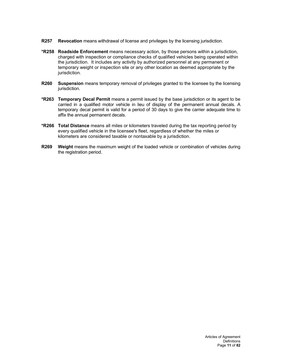- **R257 Revocation** means withdrawal of license and privileges by the licensing jurisdiction.
- **\*R258 Roadside Enforcement** means necessary action, by those persons within a jurisdiction, charged with inspection or compliance checks of qualified vehicles being operated within the jurisdiction. It includes any activity by authorized personnel at any permanent or temporary weight or inspection site or any other location as deemed appropriate by the jurisdiction.
- **R260** Suspension means temporary removal of privileges granted to the licensee by the licensing jurisdiction.
- **\*R263 Temporary Decal Permit** means a permit issued by the base jurisdiction or its agent to be carried in a qualified motor vehicle in lieu of display of the permanent annual decals. A temporary decal permit is valid for a period of 30 days to give the carrier adequate time to affix the annual permanent decals.
- **\*R266 Total Distance** means all miles or kilometers traveled during the tax reporting period by every qualified vehicle in the licensee's fleet, regardless of whether the miles or kilometers are considered taxable or nontaxable by a jurisdiction.
- **R269 Weight** means the maximum weight of the loaded vehicle or combination of vehicles during the registration period.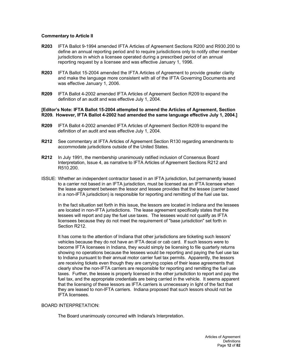# **Commentary to Article II**

- **R203** IFTA Ballot 9-1994 amended IFTA Articles of Agreement Sections R200 and R930.200 to define an annual reporting period and to require jurisdictions only to notify other member jurisdictions in which a licensee operated during a prescribed period of an annual reporting request by a licensee and was effective January 1, 1996.
- **R203** IFTA Ballot 15-2004 amended the IFTA Articles of Agreement to provide greater clarity and make the language more consistent with all of the IFTA Governing Documents and was effective January 1, 2006.
- **R209** IFTA Ballot 4-2002 amended IFTA Articles of Agreement Section R209 to expand the definition of an audit and was effective July 1, 2004.

## **[Editor's Note: IFTA Ballot 15-2004 attempted to amend the Articles of Agreement, Section R209. However, IFTA Ballot 4-2002 had amended the same language effective July 1, 2004.]**

- **R209** IFTA Ballot 4-2002 amended IFTA Articles of Agreement Section R209 to expand the definition of an audit and was effective July 1, 2004.
- **R212** See commentary at IFTA Articles of Agreement Section R130 regarding amendments to accommodate jurisdictions outside of the United States.
- **R212** In July 1991, the membership unanimously ratified inclusion of Consensus Board Interpretation, Issue 4, as narrative to IFTA Articles of Agreement Sections R212 and R510.200.
- ISSUE: Whether an independent contractor based in an IFTA jurisdiction, but permanently leased to a carrier not based in an IFTA jurisdiction, must be licensed as an IFTA licensee when the lease agreement between the lessor and lessee provides that the lessee (carrier based in a non-IFTA jurisdiction) is responsible for reporting and remitting of the fuel use tax.

In the fact situation set forth in this issue, the lessors are located in Indiana and the lessees are located in non-IFTA jurisdictions. The lease agreement specifically states that the lessees will report and pay the fuel use taxes. The lessees would not qualify as IFTA licensees because they do not meet the requirement of "base jurisdiction" set forth in Section R212.

It has come to the attention of Indiana that other jurisdictions are ticketing such lessors' vehicles because they do not have an IFTA decal or cab card. If such lessors were to become IFTA licensees in Indiana, they would simply be licensing to file quarterly returns showing no operations because the lessees would be reporting and paying the fuel use tax to Indiana pursuant to their annual motor carrier fuel tax permits. Apparently, the lessors are receiving tickets even though they are carrying copies of their lease agreements that clearly show the non-IFTA carriers are responsible for reporting and remitting the fuel use taxes. Further, the lessee is properly licensed in the other jurisdiction to report and pay the fuel tax, and the appropriate credentials are being carried in the vehicle. It seems apparent that the licensing of these lessors as IFTA carriers is unnecessary in light of the fact that they are leased to non-IFTA carriers. Indiana proposed that such lessors should not be IFTA licensees.

# BOARD INTERPRETATION:

The Board unanimously concurred with Indiana's Interpretation.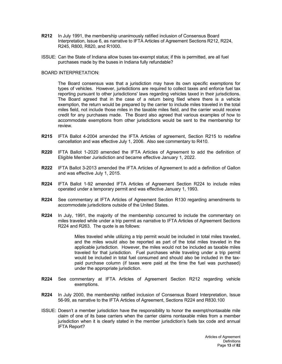- **R212** In July 1991, the membership unanimously ratified inclusion of Consensus Board Interpretation, Issue 6, as narrative to IFTA Articles of Agreement Sections R212, R224, R245, R800, R820, and R1000.
- ISSUE: Can the State of Indiana allow buses tax-exempt status; if this is permitted, are all fuel purchases made by the buses in Indiana fully refundable?

## BOARD INTERPRETATION:

The Board consensus was that a jurisdiction may have its own specific exemptions for types of vehicles. However, jurisdictions are required to collect taxes and enforce fuel tax reporting pursuant to other jurisdictions' laws regarding vehicles taxed in their jurisdictions. The Board agreed that in the case of a return being filed where there is a vehicle exemption, the return would be prepared by the carrier to include miles traveled in the total miles field, not include those miles in the taxable miles field, and the carrier would receive credit for any purchases made. The Board also agreed that various examples of how to accommodate exemptions from other jurisdictions would be sent to the membership for review.

- **R215** IFTA Ballot 4-2004 amended the IFTA Articles of agreement, Section R215 to redefine cancellation and was effective July 1, 2006. Also see commentary to R410.
- **R220** IFTA Ballot 1-2020 amended the IFTA Articles of Agreement to add the definition of Eligible Member Jurisdiction and became effective January 1, 2022.
- **R222** IFTA Ballot 3-2013 amended the IFTA Articles of Agreement to add a definition of Gallon and was effective July 1, 2015.
- **R224** IFTA Ballot 1-92 amended IFTA Articles of Agreement Section R224 to include miles operated under a temporary permit and was effective January 1, 1993.
- **R224** See commentary at IFTA Articles of Agreement Section R130 regarding amendments to accommodate jurisdictions outside of the United States.
- **R224** In July, 1991, the majority of the membership concurred to include the commentary on miles traveled while under a trip permit as narrative to IFTA Articles of Agreement Sections R224 and R263. The quote is as follows:

Miles traveled while utilizing a trip permit would be included in total miles traveled, and the miles would also be reported as part of the total miles traveled in the applicable jurisdiction. However, the miles would not be included as taxable miles traveled for that jurisdiction. Fuel purchases while traveling under a trip permit would be included in total fuel consumed and should also be included in the taxpaid purchase column (if taxes were paid at the time the fuel was purchased) under the appropriate jurisdiction.

- **R224** See commentary at IFTA Articles of Agreement Section R212 regarding vehicle exemptions.
- **R224** In July 2000, the membership ratified inclusion of Consensus Board Interpretation, Issue 56-99, as narrative to the IFTA Articles of Agreement, Sections R224 and R830.100
- ISSUE: Doesn't a member jurisdiction have the responsibility to honor the exempt/nontaxable mile claim of one of its base carriers when the carrier claims nontaxable miles from a member jurisdiction when it is clearly stated in the member jurisdiction's fuels tax code and annual IFTA Report?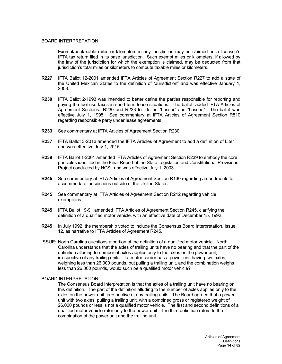#### BOARD INTERPRETATION:

Exempt/nontaxable miles or kilometers in any jurisdiction may be claimed on a licensee's IFTA tax return filed in its base jurisdiction. Such exempt miles or kilometers, if allowed by the law of the jurisdiction for which the exemption is claimed, may be deducted from that jurisdiction's total miles or kilometers to compute taxable miles or kilometers.

- **R227** IFTA Ballot 12-2001 amended IFTA Articles of Agreement Section R227 to add a state of the United Mexican States to the definition of "Jurisdiction" and was effective January 1, 2003.
- **R230** IFTA Ballot 2-1993 was intended to better define the parties responsible for reporting and paying the fuel use taxes in short-term lease situations. The ballot added IFTA Articles of Agreement Sections R230 and R233 to define "Lessor" and "Lessee". The ballot was effective July 1, 1995. See commentary at IFTA Articles of Agreement Section R510 regarding responsible party under lease agreements.
- **R233** See commentary at IFTA Articles of Agreement Section R230
- **R237** IFTA Ballot 3-2013 amended the IFTA Articles of Agreement to add a definition of Liter and was effective July 1, 2015.
- **R239** IFTA Ballot 1-2001 amended IFTA Articles of Agreement Section R239 to embody the core principles identified in the Final Report of the State Legislation and Constitutional Provisions Project conducted by NCSL and was effective July 1, 2003.
- **R245** See commentary at IFTA Articles of Agreement Section R130 regarding amendments to accommodate jurisdictions outside of the United States.
- **R245** See commentary at IFTA Articles of Agreement Section R212 regarding vehicle exemptions.
- **R245** IFTA Ballot 19-91 amended IFTA Articles of Agreement Section R245, clarifying the definition of a qualified motor vehicle, with an effective date of December 15, 1992.
- **R245** In July 1992, the membership voted to include the Consensus Board Interpretation, Issue 12, as narrative to IFTA Articles of Agreement R245.
- ISSUE: North Carolina questions a portion of the definition of a qualified motor vehicle. North Carolina understands that the axles of trailing units have no bearing and that the part of the definition alluding to number of axles applies only to the axles on the power unit, irrespective of any trailing units. If a motor carrier has a power unit having two axles, weighing less than 26,000 pounds, but pulling a trailing unit, and the combination weighs less than 26,000 pounds, would such be a qualified motor vehicle?

#### BOARD INTERPRETATION:

The Consensus Board Interpretation is that the axles of a trailing unit have no bearing on this definition. The part of the definition alluding to the number of axles applies only to the axles on the power unit, irrespective of any trailing units. The Board agreed that a power unit with two axles, pulling a trailing unit, with a combined gross or registered weight of 26,000 pounds or less is not a qualified motor vehicle. The first and second definitions of a qualified motor vehicle refer only to the power unit. The third definition refers to the combination of the power unit and the trailing unit.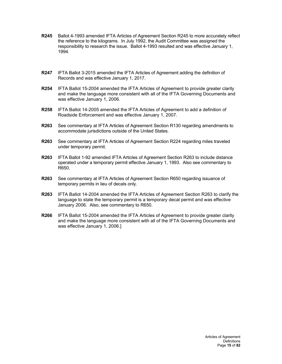- **R245** Ballot 4-1993 amended IFTA Articles of Agreement Section R245 to more accurately reflect the reference to the kilograms. In July 1992, the Audit Committee was assigned the responsibility to research the issue. Ballot 4-1993 resulted and was effective January 1, 1994.
- **R247** IFTA Ballot 3-2015 amended the IFTA Articles of Agreement adding the definition of Records and was effective January 1, 2017.
- **R254** IFTA Ballot 15-2004 amended the IFTA Articles of Agreement to provide greater clarity and make the language more consistent with all of the IFTA Governing Documents and was effective January 1, 2006.
- **R258** IFTA Ballot 14-2005 amended the IFTA Articles of Agreement to add a definition of Roadside Enforcement and was effective January 1, 2007.
- **R263** See commentary at IFTA Articles of Agreement Section R130 regarding amendments to accommodate jurisdictions outside of the United States.
- **R263** See commentary at IFTA Articles of Agreement Section R224 regarding miles traveled under temporary permit.
- **R263** IFTA Ballot 1-92 amended IFTA Articles of Agreement Section R263 to include distance operated under a temporary permit effective January 1, 1993. Also see commentary to R650.
- **R263** See commentary at IFTA Articles of Agreement Section R650 regarding issuance of temporary permits in lieu of decals only.
- **R263** IFTA Ballot 14-2004 amended the IFTA Articles of Agreement Section R263 to clarify the language to state the temporary permit is a temporary decal permit and was effective January 2006. Also, see commentary to R650.
- **R266** IFTA Ballot 15-2004 amended the IFTA Articles of Agreement to provide greater clarity and make the language more consistent with all of the IFTA Governing Documents and was effective January 1, 2006.]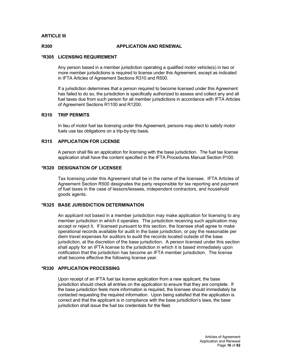# **ARTICLE III**

# **R300 APPLICATION AND RENEWAL**

# **\*R305 LICENSING REQUIREMENT**

Any person based in a member jurisdiction operating a qualified motor vehicle(s) in two or more member jurisdictions is required to license under this Agreement, except as indicated in IFTA Articles of Agreement Sections R310 and R500.

If a jurisdiction determines that a person required to become licensed under this Agreement has failed to do so, the jurisdiction is specifically authorized to assess and collect any and all fuel taxes due from such person for all member jurisdictions in accordance with IFTA Articles of Agreement Sections R1100 and R1200.

# **R310 TRIP PERMITS**

In lieu of motor fuel tax licensing under this Agreement, persons may elect to satisfy motor fuels use tax obligations on a trip-by-trip basis.

# **R315 APPLICATION FOR LICENSE**

A person shall file an application for licensing with the base jurisdiction. The fuel tax license application shall have the content specified in the IFTA Procedures Manual Section P100.

# **\*R320 DESIGNATION OF LICENSEE**

Tax licensing under this Agreement shall be in the name of the licensee. IFTA Articles of Agreement Section R500 designates the party responsible for tax reporting and payment of fuel taxes in the case of lessors/lessees, independent contractors, and household goods agents.

# **\*R325 BASE JURISDICTION DETERMINATION**

An applicant not based in a member jurisdiction may make application for licensing to any member jurisdiction in which it operates. The jurisdiction receiving such application may accept or reject it. If licensed pursuant to this section, the licensee shall agree to make operational records available for audit in the base jurisdiction, or pay the reasonable per diem travel expenses for auditors to audit the records located outside of the base jurisdiction, at the discretion of the base jurisdiction. A person licensed under this section shall apply for an IFTA license to the jurisdiction in which it is based immediately upon notification that the jurisdiction has become an IFTA member jurisdiction. The license shall become effective the following license year.

# **\*R330 APPLICATION PROCESSING**

Upon receipt of an IFTA fuel tax license application from a new applicant, the base jurisdiction should check all entries on the application to ensure that they are complete. If the base jurisdiction feels more information is required, the licensee should immediately be contacted requesting the required information. Upon being satisfied that the application is correct and that the applicant is in compliance with the base jurisdiction's laws, the base jurisdiction shall issue the fuel tax credentials for the fleet.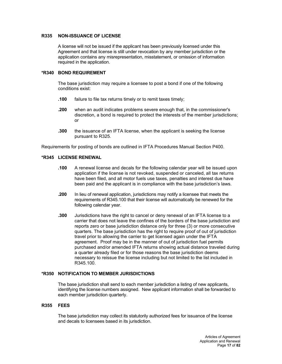# **R335 NON-ISSUANCE OF LICENSE**

A license will not be issued if the applicant has been previously licensed under this Agreement and that license is still under revocation by any member jurisdiction or the application contains any misrepresentation, misstatement, or omission of information required in the application.

# **\*R340 BOND REQUIREMENT**

The base jurisdiction may require a licensee to post a bond if one of the following conditions exist:

- **.100** failure to file tax returns timely or to remit taxes timely;
- **.200** when an audit indicates problems severe enough that, in the commissioner's discretion, a bond is required to protect the interests of the member jurisdictions; or
- **.300** the issuance of an IFTA license, when the applicant is seeking the license pursuant to R325.

Requirements for posting of bonds are outlined in IFTA Procedures Manual Section P400.

# **\*R345 LICENSE RENEWAL**

- **.100** A renewal license and decals for the following calendar year will be issued upon application if the license is not revoked, suspended or canceled, all tax returns have been filed, and all motor fuels use taxes, penalties and interest due have been paid and the applicant is in compliance with the base jurisdiction's laws.
- **.200** In lieu of renewal application, jurisdictions may notify a licensee that meets the requirements of R345.100 that their license will automatically be renewed for the following calendar year.
- **.300** Jurisdictions have the right to cancel or deny renewal of an IFTA license to a carrier that does not leave the confines of the borders of the base jurisdiction and reports zero or base jurisdiction distance only for three (3) or more consecutive quarters. The base jurisdiction has the right to require proof of out of jurisdiction travel prior to allowing the carrier to get licensed again under the IFTA agreement. Proof may be in the manner of out of jurisdiction fuel permits purchased and/or amended IFTA returns showing actual distance traveled during a quarter already filed or for those reasons the base jurisdiction deems necessary to reissue the license including but not limited to the list included in R345.100.

# **\*R350 NOTIFICATION TO MEMBER JURISDICTIONS**

The base jurisdiction shall send to each member jurisdiction a listing of new applicants, identifying the license numbers assigned. New applicant information shall be forwarded to each member jurisdiction quarterly.

## **R355 FEES**

The base jurisdiction may collect its statutorily authorized fees for issuance of the license and decals to licensees based in its jurisdiction.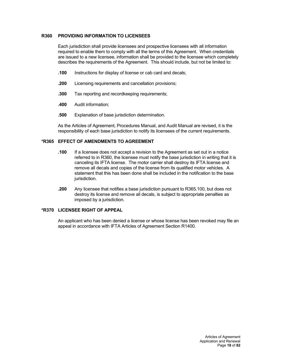# **R360 PROVIDING INFORMATION TO LICENSEES**

Each jurisdiction shall provide licensees and prospective licensees with all information required to enable them to comply with all the terms of this Agreement. When credentials are issued to a new licensee, information shall be provided to the licensee which completely describes the requirements of the Agreement. This should include, but not be limited to:

- **.100** Instructions for display of license or cab card and decals;
- **.200** Licensing requirements and cancellation provisions;
- **.300** Tax reporting and recordkeeping requirements;
- **.400** Audit information;
- **.500** Explanation of base jurisdiction determination.

As the Articles of Agreement, Procedures Manual, and Audit Manual are revised, it is the responsibility of each base jurisdiction to notify its licensees of the current requirements.

# **\*R365 EFFECT OF AMENDMENTS TO AGREEMENT**

- **.100** If a licensee does not accept a revision to the Agreement as set out in a notice referred to in R360, the licensee must notify the base jurisdiction in writing that it is canceling its IFTA license. The motor carrier shall destroy its IFTA license and remove all decals and copies of the license from its qualified motor vehicles. A statement that this has been done shall be included in the notification to the base jurisdiction.
- **.200** Any licensee that notifies a base jurisdiction pursuant to R365.100, but does not destroy its license and remove all decals, is subject to appropriate penalties as imposed by a jurisdiction.

# **\*R370 LICENSEE RIGHT OF APPEAL**

An applicant who has been denied a license or whose license has been revoked may file an appeal in accordance with IFTA Articles of Agreement Section R1400.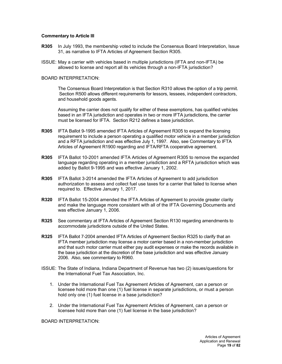# **Commentary to Article III**

- **R305** In July 1993, the membership voted to include the Consensus Board Interpretation, Issue 31, as narrative to IFTA Articles of Agreement Section R305.
- ISSUE: May a carrier with vehicles based in multiple jurisdictions (IFTA and non-IFTA) be allowed to license and report all its vehicles through a non-IFTA jurisdiction?

#### BOARD INTERPRETATION:

The Consensus Board Interpretation is that Section R310 allows the option of a trip permit. Section R500 allows different requirements for lessors, lessees, independent contractors, and household goods agents.

Assuming the carrier does not qualify for either of these exemptions, has qualified vehicles based in an IFTA jurisdiction and operates in two or more IFTA jurisdictions, the carrier must be licensed for IFTA. Section R212 defines a base jurisdiction.

- **R305** IFTA Ballot 9-1995 amended IFTA Articles of Agreement R305 to expand the licensing requirement to include a person operating a qualified motor vehicle in a member jurisdiction and a RFTA jurisdiction and was effective July 1, 1997. Also, see Commentary to IFTA Articles of Agreement R1900 regarding and IFTA/RFTA cooperative agreement.
- **R305** IFTA Ballot 10-2001 amended IFTA Articles of Agreement R305 to remove the expanded language regarding operating in a member jurisdiction and a RFTA jurisdiction which was added by Ballot 9-1995 and was effective January 1, 2002.
- **R305** IFTA Ballot 3-2014 amended the IFTA Articles of Agreement to add jurisdiction authorization to assess and collect fuel use taxes for a carrier that failed to license when required to. Effective January 1, 2017.
- **R320** IFTA Ballot 15-2004 amended the IFTA Articles of Agreement to provide greater clarity and make the language more consistent with all of the IFTA Governing Documents and was effective January 1, 2006.
- **R325** See commentary at IFTA Articles of Agreement Section R130 regarding amendments to accommodate jurisdictions outside of the United States.
- **R325** IFTA Ballot 7-2004 amended IFTA Articles of Agreement Section R325 to clarify that an IFTA member jurisdiction may license a motor carrier based in a non-member jurisdiction and that such motor carrier must either pay audit expenses or make the records available in the base jurisdiction at the discretion of the base jurisdiction and was effective January 2006. Also, see commentary to R960.
- ISSUE: The State of Indiana, Indiana Department of Revenue has two (2) issues/questions for the International Fuel Tax Association, Inc.
	- 1. Under the International Fuel Tax Agreement Articles of Agreement, can a person or licensee hold more than one (1) fuel license in separate jurisdictions, or must a person hold only one (1) fuel license in a base jurisdiction?
	- 2. Under the International Fuel Tax Agreement Articles of Agreement, can a person or licensee hold more than one (1) fuel license in the base jurisdiction?

BOARD INTERPRETATION: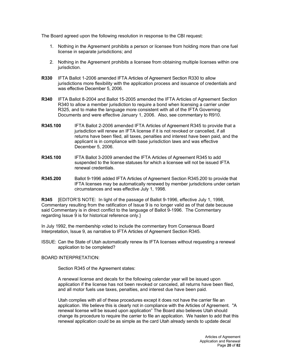The Board agreed upon the following resolution in response to the CBI request:

- 1. Nothing in the Agreement prohibits a person or licensee from holding more than one fuel license in separate jurisdictions; and
- 2. Nothing in the Agreement prohibits a licensee from obtaining multiple licenses within one jurisdiction.
- **R330** IFTA Ballot 1-2006 amended IFTA Articles of Agreement Section R330 to allow jurisdictions more flexibility with the application process and issuance of credentials and was effective December 5, 2006.
- **R340** IFTA Ballot 8-2004 and Ballot 15-2005 amended the IFTA Articles of Agreement Section R340 to allow a member jurisdiction to require a bond when licensing a carrier under R325, and to make the language more consistent with all of the IFTA Governing Documents and were effective January 1, 2006. Also, see commentary to R910.
- **R345.100** IFTA Ballot 2-2006 amended IFTA Articles of Agreement R345 to provide that a jurisdiction will renew an IFTA license if it is not revoked or cancelled, if all returns have been filed, all taxes, penalties and interest have been paid, and the applicant is in compliance with base jurisdiction laws and was effective December 5, 2006.
- **R345.100** IFTA Ballot 3-2009 amended the IFTA Articles of Agreement R345 to add suspended to the license statuses for which a licensee will not be issued IFTA renewal credentials.
- **R345.200** Ballot 9-1996 added IFTA Articles of Agreement Section R345.200 to provide that IFTA licenses may be automatically renewed by member jurisdictions under certain circumstances and was effective July 1, 1998.

**R345** [EDITOR'S NOTE: In light of the passage of Ballot 9-1996, effective July 1, 1998, Commentary resulting from the ratification of Issue 9 is no longer valid as of that date because said Commentary is in direct conflict to the language of Ballot 9-1996. The Commentary regarding Issue 9 is for historical reference only.}

In July 1992, the membership voted to include the commentary from Consensus Board Interpretation, Issue 9, as narrative to IFTA Articles of Agreement Section R345.

ISSUE: Can the State of Utah automatically renew its IFTA licenses without requesting a renewal application to be completed?

# BOARD INTERPRETATION:

Section R345 of the Agreement states:

A renewal license and decals for the following calendar year will be issued upon application if the license has not been revoked or canceled, all returns have been filed, and all motor fuels use taxes, penalties, and interest due have been paid.

Utah complies with all of these procedures except it does not have the carrier file an application. We believe this is clearly not in compliance with the Articles of Agreement. "A renewal license will be issued upon application" The Board also believes Utah should change its procedure to require the carrier to file an application. We hasten to add that this renewal application could be as simple as the card Utah already sends to update decal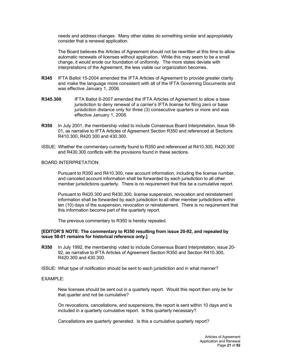needs and address changes. Many other states do something similar and appropriately consider that a renewal application.

The Board believes the Articles of Agreement should not be rewritten at this time to allow automatic renewals of licenses without application. While this may seem to be a small change, it would erode our foundation of uniformity. The more states deviate with interpretations of the Agreement, the less viable our organization becomes.

- **R345** IFTA Ballot 15-2004 amended the IFTA Articles of Agreement to provide greater clarity and make the language more consistent with all of the IFTA Governing Documents and was effective January 1, 2006.
- **R345.300** IFTA Ballot 6-2007 amended the IFTA Articles of Agreement to allow a base jurisdiction to deny renewal of a carrier's IFTA license for filing zero or base jurisdiction distance only for three (3) consecutive quarters or more and was effective January 1, 2008.
- **R350** In July 2001, the membership voted to include Consensus Board Interpretation, Issue 58- 01, as narrative to IFTA Articles of Agreement Section R350 and referenced at Sections R410.300, R420.300 and 430.300.
- ISSUE: Whether the commentary currently found to R350 and referenced at R410.300, R420.300 and R430.300 conflicts with the provisions found in these sections.

# BOARD INTERPRETATION:

Pursuant to R350 and R410.300, new account information, including the license number, and canceled account information shall be forwarded by each jurisdiction to all other member jurisdictions quarterly. There is no requirement that this be a cumulative report.

Pursuant to R420.300 and R430.300, license suspension, revocation and reinstatement information shall be forwarded by each jurisdiction to all other member jurisdictions within ten (10) days of the suspension, revocation or reinstatement. There is no requirement that this information become part of the quarterly report.

The previous commentary to R350 is hereby repealed.

# **[EDITOR'S NOTE: The commentary to R350 resulting from issue 20-92, and repealed by issue 58-01 remains for historical reference only.]**

**R350** In July 1992, the membership voted to include Consensus Board Interpretation, issue 20- 92, as narrative to IFTA Articles of Agreement Section R350 and Section R410.300, R420.300 and 430.300.

ISSUE: What type of notification should be sent to each jurisdiction and in what manner?

# EXAMPLE:

New licenses should be sent out in a quarterly report. Would this report then only be for that quarter and not be cumulative?

On revocations, cancellations, and suspensions, the report is sent within 10 days and is included in a quarterly cumulative report. Is this quarterly necessary?

Cancellations are quarterly generated. Is this a cumulative quarterly report?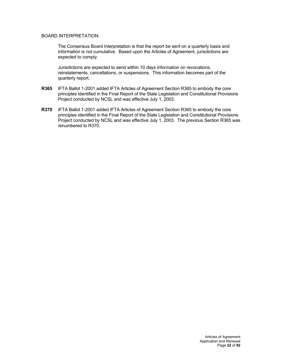# BOARD INTERPRETATION:

The Consensus Board Interpretation is that the report be sent on a quarterly basis and information is not cumulative. Based upon the Articles of Agreement, jurisdictions are expected to comply.

Jurisdictions are expected to send within 10 days information on revocations, reinstatements, cancellations, or suspensions. This information becomes part of the quarterly report.

- **R365** IFTA Ballot 1-2001 added IFTA Articles of Agreement Section R365 to embody the core principles identified in the Final Report of the State Legislation and Constitutional Provisions Project conducted by NCSL and was effective July 1, 2003.
- **R370** IFTA Ballot 1-2001 added IFTA Articles of Agreement Section R365 to embody the core principles identified in the Final Report of the State Legislation and Constitutional Provisions Project conducted by NCSL and was effective July 1, 2003. The previous Section R365 was renumbered to R370.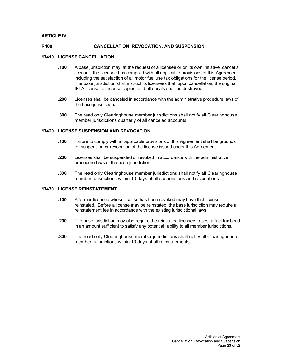# **ARTICLE IV**

## **R400 CANCELLATION, REVOCATION, AND SUSPENSION**

## **\*R410 LICENSE CANCELLATION**

- **.100** A base jurisdiction may, at the request of a licensee or on its own initiative, cancel a license if the licensee has complied with all applicable provisions of this Agreement, including the satisfaction of all motor fuel use tax obligations for the license period. The base jurisdiction shall instruct its licensees that, upon cancellation, the original IFTA license, all license copies, and all decals shall be destroyed.
- **.200** Licenses shall be canceled in accordance with the administrative procedure laws of the base jurisdiction**.**
- **.300** The read only Clearinghouse member jurisdictions shall notify all Clearinghouse member jurisdictions quarterly of all canceled accounts.

#### **\*R420 LICENSE SUSPENSION AND REVOCATION**

- **.100** Failure to comply with all applicable provisions of this Agreement shall be grounds for suspension or revocation of the license issued under this Agreement.
- **.200** Licenses shall be suspended or revoked in accordance with the administrative procedure laws of the base jurisdiction.
- **.300** The read only Clearinghouse member jurisdictions shall notify all Clearinghouse member jurisdictions within 10 days of all suspensions and revocations.

#### **\*R430 LICENSE REINSTATEMENT**

- **.100** A former licensee whose license has been revoked may have that license reinstated. Before a license may be reinstated, the base jurisdiction may require a reinstatement fee in accordance with the existing jurisdictional laws.
- **.200** The base jurisdiction may also require the reinstated licensee to post a fuel tax bond in an amount sufficient to satisfy any potential liability to all member jurisdictions.
- **.300** The read only Clearinghouse member jurisdictions shall notify all Clearinghouse member jurisdictions within 10 days of all reinstatements.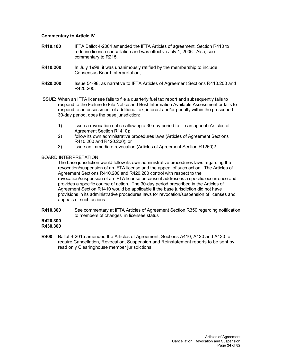# **Commentary to Article IV**

- **R410.100** IFTA Ballot 4-2004 amended the IFTA Articles of agreement, Section R410 to redefine license cancellation and was effective July 1, 2006. Also, see commentary to R215.
- **R410.200** In July 1998, it was unanimously ratified by the membership to include Consensus Board Interpretation,
- **R420.200** Issue 54-98, as narrative to IFTA Articles of Agreement Sections R410.200 and R420.200.
- ISSUE: When an IFTA licensee fails to file a quarterly fuel tax report and subsequently fails to respond to the Failure to File Notice and Best Information Available Assessment or fails to respond to an assessment of additional tax, interest and/or penalty within the prescribed 30-day period, does the base jurisdiction:
	- 1) issue a revocation notice allowing a 30-day period to file an appeal (Articles of Agreement Section R1410);
	- 2) follow its own administrative procedures laws (Articles of Agreement Sections R410.200 and R420.200); or
	- 3) issue an immediate revocation (Articles of Agreement Section R1260)?

# BOARD INTERPRETATION:

The base jurisdiction would follow its own administrative procedures laws regarding the revocation/suspension of an IFTA license and the appeal of such action. The Articles of Agreement Sections R410.200 and R420.200 control with respect to the revocation/suspension of an IFTA license because it addresses a specific occurrence and provides a specific course of action. The 30-day period prescribed in the Articles of Agreement Section R1410 would be applicable if the base jurisdiction did not have provisions in its administrative procedures laws for revocation/suspension of licenses and appeals of such actions.

**R410.300** See commentary at IFTA Articles of Agreement Section R350 regarding notification to members of changes in licensee status

#### **R420.300 R430.300**

**R400** Ballot 4-2015 amended the Articles of Agreement, Sections A410, A420 and A430 to require Cancellation, Revocation, Suspension and Reinstatement reports to be sent by read only Clearinghouse member jurisdictions.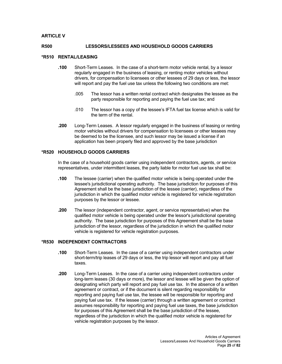# **ARTICLE V**

## **R500 LESSORS/LESSEES AND HOUSEHOLD GOODS CARRIERS**

#### **\*R510 RENTAL/LEASING**

- **.100** Short-Term Leases. In the case of a short-term motor vehicle rental, by a lessor regularly engaged in the business of leasing, or renting motor vehicles without drivers, for compensation to licensees or other lessees of 29 days or less, the lessor will report and pay the fuel use tax unless the following two conditions are met:
	- .005 The lessor has a written rental contract which designates the lessee as the party responsible for reporting and paying the fuel use tax; and
	- .010 The lessor has a copy of the lessee's IFTA fuel tax license which is valid for the term of the rental.
- **.200** Long-Term Leases. A lessor regularly engaged in the business of leasing or renting motor vehicles without drivers for compensation to licensees or other lessees may be deemed to be the licensee, and such lessor may be issued a license if an application has been properly filed and approved by the base jurisdiction

# **\*R520 HOUSEHOLD GOODS CARRIERS**

In the case of a household goods carrier using independent contractors, agents, or service representatives, under intermittent leases, the party liable for motor fuel use tax shall be:

- **.100** The lessee (carrier) when the qualified motor vehicle is being operated under the lessee's jurisdictional operating authority. The base jurisdiction for purposes of this Agreement shall be the base jurisdiction of the lessee (carrier), regardless of the jurisdiction in which the qualified motor vehicle is registered for vehicle registration purposes by the lessor or lessee.
- **.200** The lessor (independent contractor, agent, or service representative) when the qualified motor vehicle is being operated under the lessor's jurisdictional operating authority. The base jurisdiction for purposes of this Agreement shall be the base jurisdiction of the lessor, regardless of the jurisdiction in which the qualified motor vehicle is registered for vehicle registration purposes.

#### **\*R530 INDEPENDENT CONTRACTORS**

- **.100** Short-Term Leases. In the case of a carrier using independent contractors under short-term/trip leases of 29 days or less, the trip lessor will report and pay all fuel taxes.
- **.200** Long-Term Leases. In the case of a carrier using independent contractors under long-term leases (30 days or more), the lessor and lessee will be given the option of designating which party will report and pay fuel use tax. In the absence of a written agreement or contract, or if the document is silent regarding responsibility for reporting and paying fuel use tax, the lessee will be responsible for reporting and paying fuel use tax. If the lessee (carrier) through a written agreement or contract assumes responsibility for reporting and paying fuel use taxes, the base jurisdiction for purposes of this Agreement shall be the base jurisdiction of the lessee, regardless of the jurisdiction in which the qualified motor vehicle is registered for vehicle registration purposes by the lessor.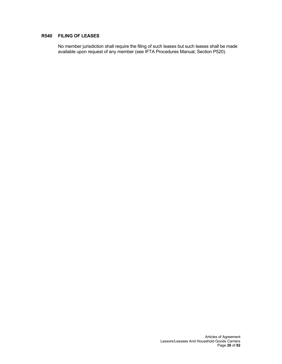# **R540 FILING OF LEASES**

No member jurisdiction shall require the filing of such leases but such leases shall be made available upon request of any member (see IFTA Procedures Manual, Section P520).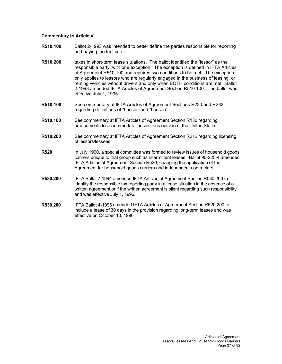# **Commentary to Article V**

- **R510.100** Ballot 2-1993 was intended to better define the parties responsible for reporting and paying the fuel use
- **R510.200** taxes in short-term lease situations. The ballot identified the "lessor" as the responsible party, with one exception. The exception is defined in IFTA Articles of Agreement R510.100 and requires two conditions to be met. The exception only applies to lessors who are regularly engaged in the business of leasing, or renting vehicles without drivers and only when BOTH conditions are met. Ballot 2-1993 amended IFTA Articles of Agreement Section R510.100. The ballot was effective July 1, 1995.
- **R510.100** See commentary at IFTA Articles of Agreement Sections R230 and R233 regarding definitions of "Lessor" and "Lessee".
- **R510.100** See commentary at IFTA Articles of Agreement Section R130 regarding amendments to accommodate jurisdictions outside of the United States.
- **R510.200** See commentary at IFTA Articles of Agreement Section R212 regarding licensing of lessors/lessees.
- **R520** In July 1990, a special committee was formed to review issues of household goods carriers unique to that group such as intermittent leases. Ballot 90-225-4 amended IFTA Articles of Agreement Section R520, changing the application of the Agreement for household goods carriers and independent contractors.
- **R530.200** IFTA Ballot 7-1994 amended IFTA Articles of Agreement Section R530.200 to identify the responsible tax reporting party in a lease situation in the absence of a written agreement or if the written agreement is silent regarding such responsibility and was effective July 1, 1996.
- **R530.200** IFTA Ballot 4-1996 amended IFTA Articles of Agreement Section R520.200 to include a lease of 30 days in the provision regarding long-term leases and was effective on October 10, 1996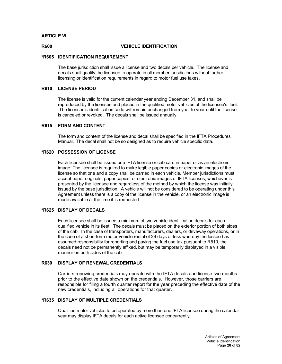# **ARTICLE VI**

# **R600 VEHICLE IDENTIFICATION**

#### **\*R605 IDENTIFICATION REQUIREMENT**

The base jurisdiction shall issue a license and two decals per vehicle. The license and decals shall qualify the licensee to operate in all member jurisdictions without further licensing or identification requirements in regard to motor fuel use taxes.

#### **R610 LICENSE PERIOD**

The license is valid for the current calendar year ending December 31, and shall be reproduced by the licensee and placed in the qualified motor vehicles of the licensee's fleet. The licensee's identification code will remain unchanged from year to year until the license is canceled or revoked. The decals shall be issued annually.

# **R615 FORM AND CONTENT**

The form and content of the license and decal shall be specified in the IFTA Procedures Manual. The decal shall not be so designed as to require vehicle specific data.

# **\*R620 POSSESSION OF LICENSE**

Each licensee shall be issued one IFTA license or cab card in paper or as an electronic image. The licensee is required to make legible paper copies or electronic images of the license so that one and a copy shall be carried in each vehicle. Member jurisdictions must accept paper originals, paper copies, or electronic images of IFTA licenses, whichever is presented by the licensee and regardless of the method by which the license was initially issued by the base jurisdiction. A vehicle will not be considered to be operating under this Agreement unless there is a copy of the license in the vehicle, or an electronic image is made available at the time it is requested.

## **\*R625 DISPLAY OF DECALS**

Each licensee shall be issued a minimum of two vehicle identification decals for each qualified vehicle in its fleet. The decals must be placed on the exterior portion of both sides of the cab. In the case of transporters, manufacturers, dealers, or driveway operations, or in the case of a short-term motor vehicle rental of 29 days or less whereby the lessee has assumed responsibility for reporting and paying the fuel use tax pursuant to R510, the decals need not be permanently affixed, but may be temporarily displayed in a visible manner on both sides of the cab.

# **R630 DISPLAY OF RENEWAL CREDENTIALS**

Carriers renewing credentials may operate with the IFTA decals and license two months prior to the effective date shown on the credentials. However, those carriers are responsible for filing a fourth quarter report for the year preceding the effective date of the new credentials, including all operations for that quarter.

## **\*R635 DISPLAY OF MULTIPLE CREDENTIALS**

Qualified motor vehicles to be operated by more than one IFTA licensee during the calendar year may display IFTA decals for each active licensee concurrently.

> Articles of Agreement Vehicle Identification Page **28** of **82**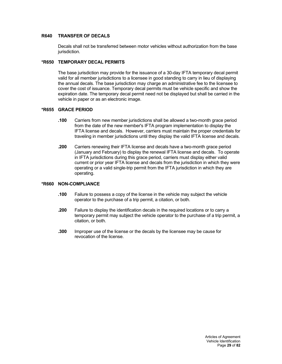# **R640 TRANSFER OF DECALS**

Decals shall not be transferred between motor vehicles without authorization from the base jurisdiction.

# **\*R650 TEMPORARY DECAL PERMITS**

The base jurisdiction may provide for the issuance of a 30-day IFTA temporary decal permit valid for all member jurisdictions to a licensee in good standing to carry in lieu of displaying the annual decals. The base jurisdiction may charge an administrative fee to the licensee to cover the cost of issuance. Temporary decal permits must be vehicle specific and show the expiration date. The temporary decal permit need not be displayed but shall be carried in the vehicle in paper or as an electronic image.

# **\*R655 GRACE PERIOD**

- **.100** Carriers from new member jurisdictions shall be allowed a two-month grace period from the date of the new member's IFTA program implementation to display the IFTA license and decals. However, carriers must maintain the proper credentials for traveling in member jurisdictions until they display the valid IFTA license and decals.
- **.200** Carriers renewing their IFTA license and decals have a two-month grace period (January and February) to display the renewal IFTA license and decals. To operate in IFTA jurisdictions during this grace period, carriers must display either valid current or prior year IFTA license and decals from the jurisdiction in which they were operating or a valid single-trip permit from the IFTA jurisdiction in which they are operating.

# **\*R660 NON-COMPLIANCE**

- **.100** Failure to possess a copy of the license in the vehicle may subject the vehicle operator to the purchase of a trip permit, a citation, or both.
- **.200** Failure to display the identification decals in the required locations or to carry a temporary permit may subject the vehicle operator to the purchase of a trip permit, a citation, or both.
- **.300** Improper use of the license or the decals by the licensee may be cause for revocation of the license.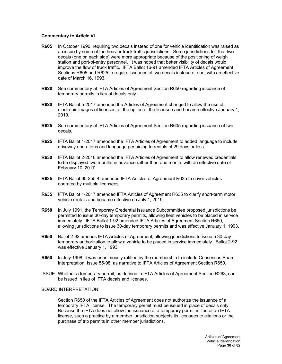# **Commentary to Article VI**

- **R605** In October 1990, requiring two decals instead of one for vehicle identification was raised as an issue by some of the heavier truck traffic jurisdictions. Some jurisdictions felt that two decals (one on each side) were more appropriate because of the positioning of weigh station and port-of-entry personnel. It was hoped that better visibility of decals would improve the flow of truck traffic. IFTA Ballot 16-91 amended IFTA Articles of Agreement Sections R605 and R625 to require issuance of two decals instead of one, with an effective date of March 16, 1993.
- **R620** See commentary at IFTA Articles of Agreement Section R650 regarding issuance of temporary permits in lieu of decals only.
- **R620** IFTA Ballot 5-2017 amended the Articles of Agreement changed to allow the use of electronic images of licenses, at the option of the licensee and became effective January 1, 2019.
- **R625** See commentary at IFTA Articles of Agreement Section R605 regarding issuance of two decals.
- **R625** IFTA Ballot 1-2017 amended the IFTA Articles of Agreement to added language to include driveway operations and language pertaining to rentals of 29 days or less.
- **R630** IFTA Ballot 2-2016 amended the IFTA Articles of Agreement to allow renewed credentials to be displayed two months in advance rather than one month, with an effective date of February 10, 2017.
- **R635** IFTA Ballot 90-255-4 amended IFTA Articles of Agreement R635 to cover vehicles operated by multiple licensees.
- **R635** IFTA Ballot 1-2017 amended IFTA Articles of Agreement R635 to clarify short-term motor vehicle rentals and became effective on July 1, 2019.
- **R650** In July 1991, the Temporary Credential Issuance Subcommittee proposed jurisdictions be permitted to issue 30-day temporary permits, allowing fleet vehicles to be placed in service immediately. IFTA Ballot 1-92 amended IFTA Articles of Agreement Section R650, allowing jurisdictions to issue 30-day temporary permits and was effective January 1, 1993.
- **R650** Ballot 2-92 amends IFTA Articles of Agreement, allowing jurisdictions to issue a 30-day temporary authorization to allow a vehicle to be placed in service immediately. Ballot 2-92 was effective January 1, 1993.
- **R650** In July 1998, it was unanimously ratified by the membership to include Consensus Board Interpretation, Issue 55-98, as narrative to IFTA Articles of Agreement Section R650.
- ISSUE: Whether a temporary permit, as defined in IFTA Articles of Agreement Section R263, can be issued in lieu of IFTA decals and licenses.

# BOARD INTERPRETATION:

Section R650 of the IFTA Articles of Agreement does not authorize the issuance of a temporary IFTA license. The temporary permit must be issued in place of decals only. Because the IFTA does not allow the issuance of a temporary permit in lieu of an IFTA license, such a practice by a member jurisdiction subjects its licensees to citations or the purchase of trip permits in other member jurisdictions.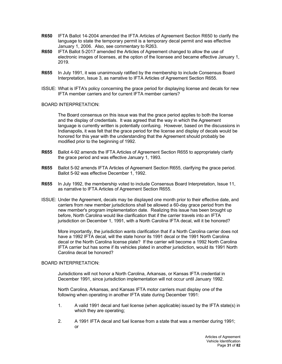- **R650** IFTA Ballot 14-2004 amended the IFTA Articles of Agreement Section R650 to clarify the language to state the temporary permit is a temporary decal permit and was effective January 1, 2006. Also, see commentary to R263.
- **R650** IFTA Ballot 5-2017 amended the Articles of Agreement changed to allow the use of electronic images of licenses, at the option of the licensee and became effective January 1, 2019.
- **R655** In July 1991, it was unanimously ratified by the membership to include Consensus Board Interpretation, Issue 3, as narrative to IFTA Articles of Agreement Section R655.
- ISSUE: What is IFTA's policy concerning the grace period for displaying license and decals for new IFTA member carriers and for current IFTA member carriers?

# BOARD INTERPRETATION:

The Board consensus on this issue was that the grace period applies to both the license and the display of credentials. It was agreed that the way in which the Agreement language is currently written is potentially confusing. However, based on the discussions in Indianapolis, it was felt that the grace period for the license and display of decals would be honored for this year with the understanding that the Agreement should probably be modified prior to the beginning of 1992.

- **R655** Ballot 4-92 amends the IFTA Articles of Agreement Section R655 to appropriately clarify the grace period and was effective January 1, 1993.
- **R655** Ballot 5-92 amends IFTA Articles of Agreement Section R655, clarifying the grace period. Ballot 5-92 was effective December 1, 1992.
- **R655** In July 1992, the membership voted to include Consensus Board Interpretation, Issue 11, as narrative to IFTA Articles of Agreement Section R655.
- ISSUE: Under the Agreement, decals may be displayed one month prior to their effective date, and carriers from new member jurisdictions shall be allowed a 60-day grace period from the new member's program implementation date. Realizing this issue has been brought up before, North Carolina would like clarification that if the carrier travels into an IFTA jurisdiction on December 1, 1991, with a North Carolina IFTA decal, will it be honored?

More importantly, the jurisdiction wants clarification that if a North Carolina carrier does not have a 1992 IFTA decal, will the state honor its 1991 decal or the 1991 North Carolina decal or the North Carolina license plate? If the carrier will become a 1992 North Carolina IFTA carrier but has some if its vehicles plated in another jurisdiction, would its 1991 North Carolina decal be honored?

# BOARD INTERPRETATION:

Jurisdictions will not honor a North Carolina, Arkansas, or Kansas IFTA credential in December 1991, since jurisdiction implementation will not occur until January 1992.

North Carolina, Arkansas, and Kansas IFTA motor carriers must display one of the following when operating in another IFTA state during December 1991:

- 1. A valid 1991 decal and fuel license (when applicable) issued by the IFTA state(s) in which they are operating;
- 2. A 1991 IFTA decal and fuel license from a state that was a member during 1991; or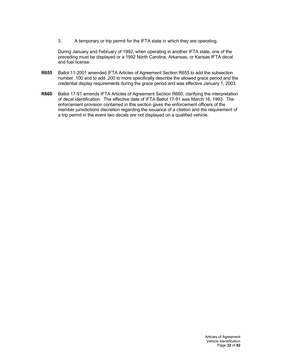3. A temporary or trip permit for the IFTA state in which they are operating.

During January and February of 1992, when operating in another IFTA state, one of the preceding must be displayed or a 1992 North Carolina, Arkansas, or Kansas IFTA decal and fuel license.

- **R655** Ballot 11-2001 amended IFTA Articles of Agreement Section R655 to add the subsection number .100 and to add .200 to more specifically describe the allowed grace period and the credential display requirements during the grace period and was effective January 1, 2003.
- **R660** Ballot 17-91 amends IFTA Articles of Agreement Section R660, clarifying the interpretation of decal identification. The effective date of IFTA Ballot 17-91 was March 16, 1993. The enforcement provision contained in this section gives the enforcement officers of the member jurisdictions discretion regarding the issuance of a citation and the requirement of a trip permit in the event two decals are not displayed on a qualified vehicle.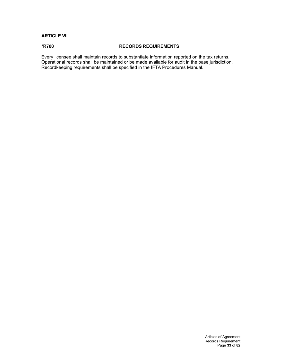# **ARTICLE VII**

# **\*R700 RECORDS REQUIREMENTS**

Every licensee shall maintain records to substantiate information reported on the tax returns. Operational records shall be maintained or be made available for audit in the base jurisdiction. Recordkeeping requirements shall be specified in the IFTA Procedures Manual.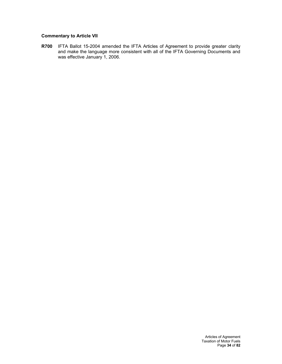# **Commentary to Article VII**

**R700** IFTA Ballot 15-2004 amended the IFTA Articles of Agreement to provide greater clarity and make the language more consistent with all of the IFTA Governing Documents and was effective January 1, 2006.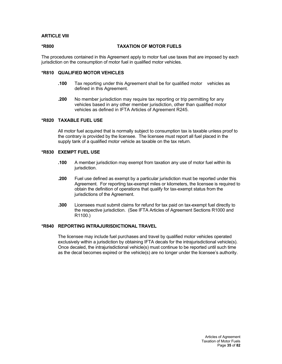# **ARTICLE VIII**

**\*R800 TAXATION OF MOTOR FUELS**

The procedures contained in this Agreement apply to motor fuel use taxes that are imposed by each jurisdiction on the consumption of motor fuel in qualified motor vehicles.

# **\*R810 QUALIFIED MOTOR VEHICLES**

- **.100** Tax reporting under this Agreement shall be for qualified motor vehicles as defined in this Agreement.
- **.200** No member jurisdiction may require tax reporting or trip permitting for any vehicles based in any other member jurisdiction, other than qualified motor vehicles as defined in IFTA Articles of Agreement R245.

# **\*R820 TAXABLE FUEL USE**

All motor fuel acquired that is normally subject to consumption tax is taxable unless proof to the contrary is provided by the licensee. The licensee must report all fuel placed in the supply tank of a qualified motor vehicle as taxable on the tax return.

# **\*R830 EXEMPT FUEL USE**

- **.100** A member jurisdiction may exempt from taxation any use of motor fuel within its jurisdiction.
- **.200** Fuel use defined as exempt by a particular jurisdiction must be reported under this Agreement. For reporting tax-exempt miles or kilometers, the licensee is required to obtain the definition of operations that qualify for tax-exempt status from the jurisdictions of the Agreement.
- **.300** Licensees must submit claims for refund for tax paid on tax-exempt fuel directly to the respective jurisdiction. (See IFTA Articles of Agreement Sections R1000 and R1100.)

# **\*R840 REPORTING INTRAJURISDICTIONAL TRAVEL**

The licensee may include fuel purchases and travel by qualified motor vehicles operated exclusively within a jurisdiction by obtaining IFTA decals for the intrajurisdictional vehicle(s). Once decaled, the intrajurisdictional vehicle(s) must continue to be reported until such time as the decal becomes expired or the vehicle(s) are no longer under the licensee's authority.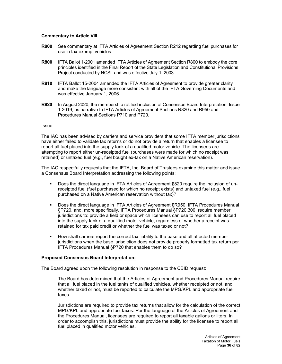## **Commentary to Article VIII**

- **R800** See commentary at IFTA Articles of Agreement Section R212 regarding fuel purchases for use in tax-exempt vehicles.
- **R800** IFTA Ballot 1-2001 amended IFTA Articles of Agreement Section R800 to embody the core principles identified in the Final Report of the State Legislation and Constitutional Provisions Project conducted by NCSL and was effective July 1, 2003.
- **R810** IFTA Ballot 15-2004 amended the IFTA Articles of Agreement to provide greater clarity and make the language more consistent with all of the IFTA Governing Documents and was effective January 1, 2006.
- **R820** In August 2020, the membership ratified inclusion of Consensus Board Interpretation, Issue 1-2019, as narrative to IFTA Articles of Agreement Sections R820 and R950 and Procedures Manual Sections P710 and P720.

### Issue:

The IAC has been advised by carriers and service providers that some IFTA member jurisdictions have either failed to validate tax returns or do not provide a return that enables a licensee to report all fuel placed into the supply tank of a qualified motor vehicle. The licensees are attempting to report either un-receipted fuel (purchases were made for which no receipt was retained) or untaxed fuel (e.g., fuel bought ex-tax on a Native American reservation).

The IAC respectfully requests that the IFTA, Inc. Board of Trustees examine this matter and issue a Consensus Board Interpretation addressing the following points:

- Does the direct language in IFTA Articles of Agreement §820 require the inclusion of unreceipted fuel (fuel purchased for which no receipt exists) and untaxed fuel (e.g., fuel purchased on a Native American reservation without tax)?
- Does the direct language in IFTA Articles of Agreement §R950, IFTA Procedures Manual §P720, and, more specifically, IFTA Procedures Manual §P720.300, require member jurisdictions to: provide a field or space which licensees can use to report all fuel placed into the supply tank of a qualified motor vehicle, regardless of whether a receipt was retained for tax paid credit or whether the fuel was taxed or not?
- **How shall carriers report the correct tax liability to the base and all affected member** jurisdictions when the base jurisdiction does not provide properly formatted tax return per IFTA Procedures Manual §P720 that enables them to do so?

## **Proposed Consensus Board Interpretation:**

The Board agreed upon the following resolution in response to the CBID request:

The Board has determined that the Articles of Agreement and Procedures Manual require that all fuel placed in the fuel tanks of qualified vehicles, whether receipted or not, and whether taxed or not, must be reported to calculate the MPG/KPL and appropriate fuel taxes.

Jurisdictions are required to provide tax returns that allow for the calculation of the correct MPG/KPL and appropriate fuel taxes. Per the language of the Articles of Agreement and the Procedures Manual, licensees are required to report all taxable gallons or liters. In order to accomplish this, jurisdictions must provide the ability for the licensee to report all fuel placed in qualified motor vehicles.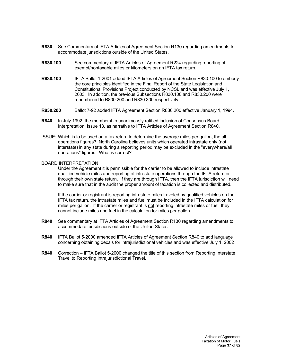- **R830** See Commentary at IFTA Articles of Agreement Section R130 regarding amendments to accommodate jurisdictions outside of the United States.
- **R830.100** See commentary at IFTA Articles of Agreement R224 regarding reporting of exempt/nontaxable miles or kilometers on an IFTA tax return.
- **R830.100** IFTA Ballot 1-2001 added IFTA Articles of Agreement Section R830.100 to embody the core principles identified in the Final Report of the State Legislation and Constitutional Provisions Project conducted by NCSL and was effective July 1, 2003. In addition, the previous Subsections R830.100 and R830.200 were renumbered to R800.200 and R830.300 respectively.
- **R830.200** Ballot 7-92 added IFTA Agreement Section R830.200 effective January 1, 1994.
- **R840** In July 1992, the membership unanimously ratified inclusion of Consensus Board Interpretation, Issue 13, as narrative to IFTA Articles of Agreement Section R840.
- ISSUE: Which is to be used on a tax return to determine the average miles per gallon, the all operations figures? North Carolina believes units which operated intrastate only (not interstate) in any state during a reporting period may be excluded in the "everywhere/all operations" figures. What is correct?

### BOARD INTERPRETATION:

Under the Agreement it is permissible for the carrier to be allowed to include intrastate qualified vehicle miles and reporting of intrastate operations through the IFTA return or through their own state return. If they are through IFTA, then the IFTA jurisdiction will need to make sure that in the audit the proper amount of taxation is collected and distributed.

If the carrier or registrant is reporting intrastate miles traveled by qualified vehicles on the IFTA tax return, the intrastate miles and fuel must be included in the IFTA calculation for miles per gallon. If the carrier or registrant is not reporting intrastate miles or fuel, they cannot include miles and fuel in the calculation for miles per gallon

- **R840** See commentary at IFTA Articles of Agreement Section R130 regarding amendments to accommodate jurisdictions outside of the United States.
- **R840** IFTA Ballot 5-2000 amended IFTA Articles of Agreement Section R840 to add language concerning obtaining decals for intrajurisdictional vehicles and was effective July 1, 2002
- **R840** Correction IFTA Ballot 5-2000 changed the title of this section from Reporting Interstate Travel to Reporting Intrajurisdictional Travel.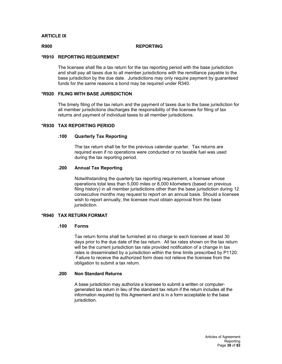# **ARTICLE IX**

### **R900 REPORTING**

# **\*R910 REPORTING REQUIREMENT**

The licensee shall file a tax return for the tax reporting period with the base jurisdiction and shall pay all taxes due to all member jurisdictions with the remittance payable to the base jurisdiction by the due date. Jurisdictions may only require payment by guaranteed funds for the same reasons a bond may be required under R340.

# **\*R920 FILING WITH BASE JURISDICTION**

The timely filing of the tax return and the payment of taxes due to the base jurisdiction for all member jurisdictions discharges the responsibility of the licensee for filing of tax returns and payment of individual taxes to all member jurisdictions.

## **\*R930 TAX REPORTING PERIOD**

# **.100 Quarterly Tax Reporting**

The tax return shall be for the previous calendar quarter. Tax returns are required even if no operations were conducted or no taxable fuel was used during the tax reporting period.

# **.200 Annual Tax Reporting**

Notwithstanding the quarterly tax reporting requirement, a licensee whose operations total less than 5,000 miles or 8,000 kilometers (based on previous filing history) in all member jurisdictions other than the base jurisdiction during 12 consecutive months may request to report on an annual basis. Should a licensee wish to report annually, the licensee must obtain approval from the base jurisdiction.

# **\*R940 TAX RETURN FORMAT**

## **.100 Forms**

Tax return forms shall be furnished at no charge to each licensee at least 30 days prior to the due date of the tax return. All tax rates shown on the tax return will be the current jurisdiction tax rate provided notification of a change in tax rates is disseminated by a jurisdiction within the time limits prescribed by P1120. Failure to receive the authorized form does not relieve the licensee from the obligation to submit a tax return.

# **.200 Non Standard Returns**

A base jurisdiction may authorize a licensee to submit a written or computergenerated tax return in lieu of the standard tax return if the return includes all the information required by this Agreement and is in a form acceptable to the base jurisdiction.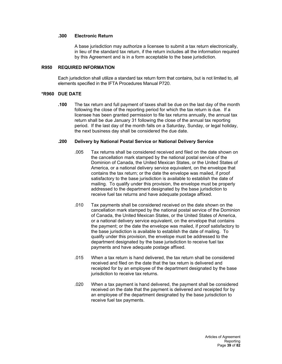# **.300 Electronic Return**

A base jurisdiction may authorize a licensee to submit a tax return electronically, in lieu of the standard tax return, if the return includes all the information required by this Agreement and is in a form acceptable to the base jurisdiction.

### **R950 REQUIRED INFORMATION**

Each jurisdiction shall utilize a standard tax return form that contains, but is not limited to, all elements specified in the IFTA Procedures Manual P720.

## **\*R960 DUE DATE**

**.100** The tax return and full payment of taxes shall be due on the last day of the month following the close of the reporting period for which the tax return is due. If a licensee has been granted permission to file tax returns annually, the annual tax return shall be due January 31 following the close of the annual tax reporting period. If the last day of the month falls on a Saturday, Sunday, or legal holiday, the next business day shall be considered the due date.

## **.200 Delivery by National Postal Service or National Delivery Service**

- .005 Tax returns shall be considered received and filed on the date shown on the cancellation mark stamped by the national postal service of the Dominion of Canada, the United Mexican States, or the United States of America, or a national delivery service equivalent, on the envelope that contains the tax return; or the date the envelope was mailed, if proof satisfactory to the base jurisdiction is available to establish the date of mailing. To qualify under this provision, the envelope must be properly addressed to the department designated by the base jurisdiction to receive fuel tax returns and have adequate postage affixed.
- .010 Tax payments shall be considered received on the date shown on the cancellation mark stamped by the national postal service of the Dominion of Canada, the United Mexican States, or the United States of America, or a national delivery service equivalent, on the envelope that contains the payment; or the date the envelope was mailed, if proof satisfactory to the base jurisdiction is available to establish the date of mailing. To qualify under this provision, the envelope must be addressed to the department designated by the base jurisdiction to receive fuel tax payments and have adequate postage affixed.
- .015 When a tax return is hand delivered, the tax return shall be considered received and filed on the date that the tax return is delivered and receipted for by an employee of the department designated by the base jurisdiction to receive tax returns.
- .020 When a tax payment is hand delivered, the payment shall be considered received on the date that the payment is delivered and receipted for by an employee of the department designated by the base jurisdiction to receive fuel tax payments.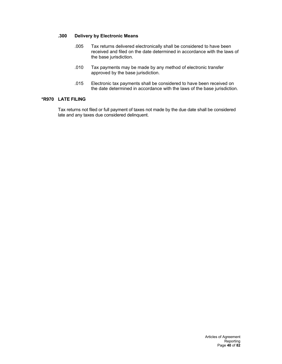# **.300 Delivery by Electronic Means**

- .005 Tax returns delivered electronically shall be considered to have been received and filed on the date determined in accordance with the laws of the base jurisdiction.
- .010 Tax payments may be made by any method of electronic transfer approved by the base jurisdiction.
- .015 Electronic tax payments shall be considered to have been received on the date determined in accordance with the laws of the base jurisdiction.

# **\*R970 LATE FILING**

Tax returns not filed or full payment of taxes not made by the due date shall be considered late and any taxes due considered delinquent.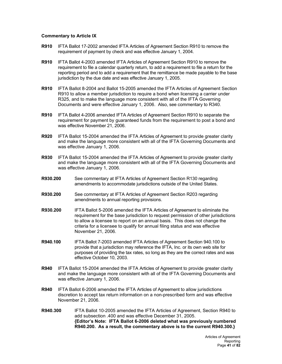## **Commentary to Article IX**

- **R910** IFTA Ballot 17-2002 amended IFTA Articles of Agreement Section R910 to remove the requirement of payment by check and was effective January 1, 2004.
- **R910** IFTA Ballot 4-2003 amended IFTA Articles of Agreement Section R910 to remove the requirement to file a calendar quarterly return, to add a requirement to file a return for the reporting period and to add a requirement that the remittance be made payable to the base jurisdiction by the due date and was effective January 1, 2005.
- **R910** IFTA Ballot 8-2004 and Ballot 15-2005 amended the IFTA Articles of Agreement Section R910 to allow a member jurisdiction to require a bond when licensing a carrier under R325, and to make the language more consistent with all of the IFTA Governing Documents and were effective January 1, 2006. Also, see commentary to R340.
- **R910** IFTA Ballot 4-2006 amended IFTA Articles of Agreement Section R910 to separate the requirement for payment by guaranteed funds from the requirement to post a bond and was effective November 21, 2006.
- **R920** IFTA Ballot 15-2004 amended the IFTA Articles of Agreement to provide greater clarity and make the language more consistent with all of the IFTA Governing Documents and was effective January 1, 2006.
- **R930** IFTA Ballot 15-2004 amended the IFTA Articles of Agreement to provide greater clarity and make the language more consistent with all of the IFTA Governing Documents and was effective January 1, 2006.
- **R930.200** See commentary at IFTA Articles of Agreement Section R130 regarding amendments to accommodate jurisdictions outside of the United States.
- **R930.200** See commentary at IFTA Articles of Agreement Section R203 regarding amendments to annual reporting provisions.
- **R930.200** IFTA Ballot 5-2006 amended the IFTA Articles of Agreement to eliminate the requirement for the base jurisdiction to request permission of other jurisdictions to allow a licensee to report on an annual basis. This does not change the criteria for a licensee to qualify for annual filing status and was effective November 21, 2006.
- **R940.100** IFTA Ballot 7-2003 amended IFTA Articles of Agreement Section 940.100 to provide that a jurisdiction may reference the IFTA, Inc. or its own web site for purposes of providing the tax rates, so long as they are the correct rates and was effective October 10, 2003.
- **R940** IFTA Ballot 15-2004 amended the IFTA Articles of Agreement to provide greater clarity and make the language more consistent with all of the IFTA Governing Documents and was effective January 1, 2006.
- **R940** IFTA Ballot 6-2006 amended the IFTA Articles of Agreement to allow jurisdictions discretion to accept tax return information on a non-prescribed form and was effective November 21, 2006.
- **R940.300** IFTA Ballot 10-2005 amended the IFTA Articles of Agreement, Section R940 to add subsection .400 and was effective December 31, 2005. **{Editor's Note: IFTA Ballot 6-2006 deleted what was previously numbered R940.200. As a result, the commentary above is to the current R940.300.}**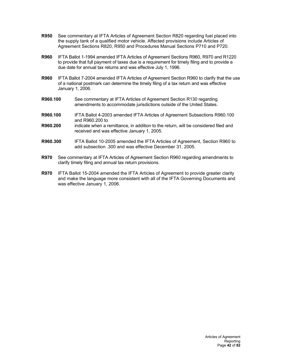- **R950** See commentary at IFTA Articles of Agreement Section R820 regarding fuel placed into the supply tank of a qualified motor vehicle. Affected provisions include Articles of Agreement Sections R820, R950 and Procedures Manual Sections P710 and P720.
- **R960** IFTA Ballot 1-1994 amended IFTA Articles of Agreement Sections R960, R970 and R1220 to provide that full payment of taxes due is a requirement for timely filing and to provide a due date for annual tax returns and was effective July 1, 1996.
- **R960** IFTA Ballot 7-2004 amended IFTA Articles of Agreement Section R960 to clarify that the use of a national postmark can determine the timely filing of a tax return and was effective January 1, 2006.
- **R960.100** See commentary at IFTA Articles of Agreement Section R130 regarding amendments to accommodate jurisdictions outside of the United States.
- **R960.100** IFTA Ballot 4-2003 amended IFTA Articles of Agreement Subsections R960.100 and R960.200 to
- **R960.200** indicate when a remittance, in addition to the return, will be considered filed and received and was effective January 1, 2005.
- **R960.300** IFTA Ballot 10-2005 amended the IFTA Articles of Agreement, Section R960 to add subsection .300 and was effective December 31, 2005.
- **R970** See commentary at IFTA Articles of Agreement Section R960 regarding amendments to clarify timely filing and annual tax return provisions.
- **R970** IFTA Ballot 15-2004 amended the IFTA Articles of Agreement to provide greater clarity and make the language more consistent with all of the IFTA Governing Documents and was effective January 1, 2006.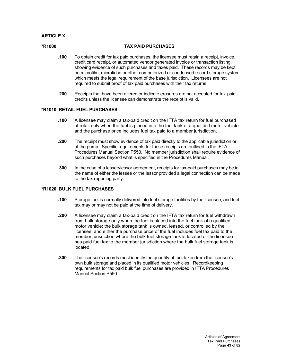# **ARTICLE X**

## **\*R1000 TAX PAID PURCHASES**

- **.100** To obtain credit for tax paid purchases, the licensee must retain a receipt, invoice, credit card receipt, or automated vendor generated invoice or transaction listing, showing evidence of such purchases and taxes paid. These records may be kept on microfilm, microfiche or other computerized or condensed record storage system which meets the legal requirement of the base jurisdiction. Licensees are not required to submit proof of tax paid purchases with their tax returns.
- **.200** Receipts that have been altered or indicate erasures are not accepted for tax-paid credits unless the licensee can demonstrate the receipt is valid.

# **\*R1010 RETAIL FUEL PURCHASES**

- **.100** A licensee may claim a tax-paid credit on the IFTA tax return for fuel purchased at retail only when the fuel is placed into the fuel tank of a qualified motor vehicle and the purchase price includes fuel tax paid to a member jurisdiction.
- **.200** The receipt must show evidence of tax paid directly to the applicable jurisdiction or at the pump. Specific requirements for these receipts are outlined in the IFTA Procedures Manual Section P550. No member jurisdiction shall require evidence of such purchases beyond what is specified in the Procedures Manual.
- **.300** In the case of a lessee/lessor agreement, receipts for tax-paid purchases may be in the name of either the lessee or the lessor provided a legal connection can be made to the tax reporting party.

## **\*R1020 BULK FUEL PURCHASES**

- **.100** Storage fuel is normally delivered into fuel storage facilities by the licensee, and fuel tax may or may not be paid at the time of delivery.
- **.200** A licensee may claim a tax-paid credit on the IFTA tax return for fuel withdrawn from bulk storage only when the fuel is placed into the fuel tank of a qualified motor vehicle; the bulk storage tank is owned, leased, or controlled by the licensee; and either the purchase price of the fuel includes fuel tax paid to the member jurisdiction where the bulk fuel storage tank is located or the licensee has paid fuel tax to the member jurisdiction where the bulk fuel storage tank is located.
- **.300** The licensee's records must identify the quantity of fuel taken from the licensee's own bulk storage and placed in its qualified motor vehicles. Recordkeeping requirements for tax paid bulk fuel purchases are provided in IFTA Procedures Manual Section P550.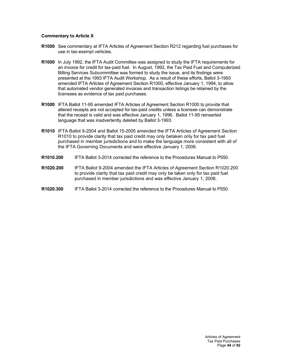# **Commentary to Article X**

- **R1000** See commentary at IFTA Articles of Agreement Section R212 regarding fuel purchases for use in tax-exempt vehicles.
- **R1000** In July 1992, the IFTA Audit Committee was assigned to study the IFTA requirements for an invoice for credit for tax-paid fuel. In August, 1992, the Tax Paid Fuel and Computerized Billing Services Subcommittee was formed to study the issue, and its findings were presented at the 1993 IFTA Audit Workshop. As a result of these efforts, Ballot 3-1993 amended IFTA Articles of Agreement Section R1000, effective January 1, 1994, to allow that automated vendor generated invoices and transaction listings be retained by the licensees as evidence of tax paid purchases.
- **R1000** IFTA Ballot 11-95 amended IFTA Articles of Agreement Section R1000 to provide that altered receipts are not accepted for tax-paid credits unless a licensee can demonstrate that the receipt is valid and was effective January 1, 1996. Ballot 11-95 reinserted language that was inadvertently deleted by Ballot 3-1993.
- **R1010** IFTA Ballot 9-2004 and Ballot 15-2005 amended the IFTA Articles of Agreement Section R1010 to provide clarity that tax paid credit may only betaken only for tax paid fuel purchased in member jurisdictions and to make the language more consistent with all of the IFTA Governing Documents and were effective January 1, 2006.
- **R1010.200** IFTA Ballot 3-2014 corrected the reference to the Procedures Manual to P550.
- **R1020.200** IFTA Ballot 9-2004 amended the IFTA Articles of Agreement Section R1020.200 to provide clarity that tax paid credit may only be taken only for tax paid fuel purchased in member jurisdictions and was effective January 1, 2006.
- **R1020.300** IFTA Ballot 3-2014 corrected the reference to the Procedures Manual to P550.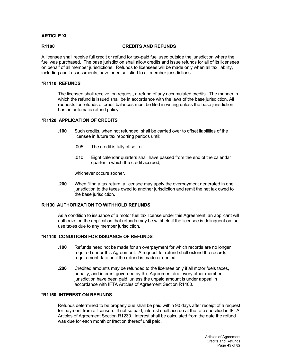# **ARTICLE XI**

#### **R1100 CREDITS AND REFUNDS**

A licensee shall receive full credit or refund for tax-paid fuel used outside the jurisdiction where the fuel was purchased. The base jurisdiction shall allow credits and issue refunds for all of its licensees on behalf of all member jurisdictions. Refunds to licensees will be made only when all tax liability, including audit assessments, have been satisfied to all member jurisdictions.

## **\*R1110 REFUNDS**

The licensee shall receive, on request, a refund of any accumulated credits. The manner in which the refund is issued shall be in accordance with the laws of the base jurisdiction. All requests for refunds of credit balances must be filed in writing unless the base jurisdiction has an automatic refund policy.

## **\*R1120 APPLICATION OF CREDITS**

- **.100** Such credits, when not refunded, shall be carried over to offset liabilities of the licensee in future tax reporting periods until:
	- .005 The credit is fully offset; or
	- .010 Eight calendar quarters shall have passed from the end of the calendar quarter in which the credit accrued,

whichever occurs sooner.

**.200** When filing a tax return, a licensee may apply the overpayment generated in one jurisdiction to the taxes owed to another jurisdiction and remit the net tax owed to the base jurisdiction.

# **R1130 AUTHORIZATION TO WITHHOLD REFUNDS**

As a condition to issuance of a motor fuel tax license under this Agreement, an applicant will authorize on the application that refunds may be withheld if the licensee is delinquent on fuel use taxes due to any member jurisdiction.

## **\*R1140 CONDITIONS FOR ISSUANCE OF REFUNDS**

- **.100** Refunds need not be made for an overpayment for which records are no longer required under this Agreement. A request for refund shall extend the records requirement date until the refund is made or denied.
- **.200** Credited amounts may be refunded to the licensee only if all motor fuels taxes, penalty, and interest governed by this Agreement due every other member jurisdiction have been paid, unless the unpaid amount is under appeal in accordance with IFTA Articles of Agreement Section R1400.

## **\*R1150 INTEREST ON REFUNDS**

Refunds determined to be properly due shall be paid within 90 days after receipt of a request for payment from a licensee. If not so paid, interest shall accrue at the rate specified in IFTA Articles of Agreement Section R1230. Interest shall be calculated from the date the refund was due for each month or fraction thereof until paid.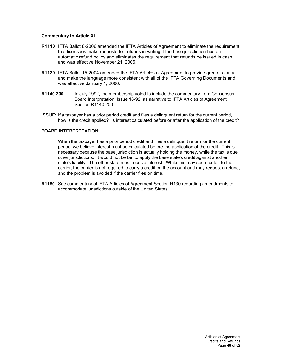# **Commentary to Article XI**

- **R1110** IFTA Ballot 8-2006 amended the IFTA Articles of Agreement to eliminate the requirement that licensees make requests for refunds in writing if the base jurisdiction has an automatic refund policy and eliminates the requirement that refunds be issued in cash and was effective November 21, 2006.
- **R1120** IFTA Ballot 15-2004 amended the IFTA Articles of Agreement to provide greater clarity and make the language more consistent with all of the IFTA Governing Documents and was effective January 1, 2006.
- **R1140.200** In July 1992, the membership voted to include the commentary from Consensus Board Interpretation, Issue 18-92, as narrative to IFTA Articles of Agreement Section R1140.200.
- ISSUE: If a taxpayer has a prior period credit and files a delinquent return for the current period, how is the credit applied? Is interest calculated before or after the application of the credit?

## BOARD INTERPRETATION:

When the taxpayer has a prior period credit and files a delinquent return for the current period, we believe interest must be calculated before the application of the credit. This is necessary because the base jurisdiction is actually holding the money, while the tax is due other jurisdictions. It would not be fair to apply the base state's credit against another state's liability. The other state must receive interest. While this may seem unfair to the carrier, the carrier is not required to carry a credit on the account and may request a refund, and the problem is avoided if the carrier files on time.

**R1150** See commentary at IFTA Articles of Agreement Section R130 regarding amendments to accommodate jurisdictions outside of the United States.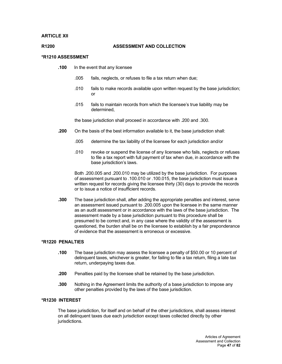## **ARTICLE XII**

### **R1200 ASSESSMENT AND COLLECTION**

## **\*R1210 ASSESSMENT**

- **.100** In the event that any licensee
	- .005 fails, neglects, or refuses to file a tax return when due;
	- .010 fails to make records available upon written request by the base jurisdiction; or
	- .015 fails to maintain records from which the licensee's true liability may be determined,

the base jurisdiction shall proceed in accordance with .200 and .300.

- **.200** On the basis of the best information available to it, the base jurisdiction shall:
	- .005 determine the tax liability of the licensee for each jurisdiction and/or
	- .010 revoke or suspend the license of any licensee who fails, neglects or refuses to file a tax report with full payment of tax when due, in accordance with the base jurisdiction's laws.

Both .200.005 and .200.010 may be utilized by the base jurisdiction. For purposes of assessment pursuant to .100.010 or .100.015, the base jurisdiction must issue a written request for records giving the licensee thirty (30) days to provide the records or to issue a notice of insufficient records.

**.300** The base jurisdiction shall, after adding the appropriate penalties and interest, serve an assessment issued pursuant to .200.005 upon the licensee in the same manner as an audit assessment or in accordance with the laws of the base jurisdiction. The assessment made by a base jurisdiction pursuant to this procedure shall be presumed to be correct and, in any case where the validity of the assessment is questioned, the burden shall be on the licensee to establish by a fair preponderance of evidence that the assessment is erroneous or excessive.

## **\*R1220 PENALTIES**

- **.100** The base jurisdiction may assess the licensee a penalty of \$50.00 or 10 percent of delinquent taxes, whichever is greater, for failing to file a tax return, filing a late tax return, underpaying taxes due.
- **.200** Penalties paid by the licensee shall be retained by the base jurisdiction.
- **.300** Nothing in the Agreement limits the authority of a base jurisdiction to impose any other penalties provided by the laws of the base jurisdiction.

#### **\*R1230 INTEREST**

The base jurisdiction, for itself and on behalf of the other jurisdictions, shall assess interest on all delinquent taxes due each jurisdiction except taxes collected directly by other jurisdictions.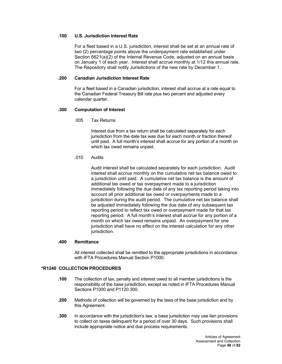# **.100 U.S. Jurisdiction Interest Rate**

For a fleet based in a U.S. jurisdiction, interest shall be set at an annual rate of two (2) percentage points above the underpayment rate established under Section 6621(a)(2) of the Internal Revenue Code, adjusted on an annual basis on January 1 of each year. Interest shall accrue monthly at 1/12 this annual rate. The Repository shall notify Jurisdictions of the new rate by December 1.

## **.200 Canadian Jurisdiction Interest Rate**

For a fleet based in a Canadian jurisdiction, interest shall accrue at a rate equal to the Canadian Federal Treasury Bill rate plus two percent and adjusted every calendar quarter.

## **.300 Computation of Interest**

.005 Tax Returns

Interest due from a tax return shall be calculated separately for each jurisdiction from the date tax was due for each month or fraction thereof until paid. A full month's interest shall accrue for any portion of a month on which tax owed remains unpaid.

## .010 Audits

Audit interest shall be calculated separately for each jurisdiction. Audit interest shall accrue monthly on the cumulative net tax balance owed to a jurisdiction until paid. A cumulative net tax balance is the amount of additional tax owed or tax overpayment made to a jurisdiction immediately following the due date of any tax reporting period taking into account all prior additional tax owed or overpayments made to a jurisdiction during the audit period. The cumulative net tax balance shall be adjusted immediately following the due date of any subsequent tax reporting period to reflect tax owed or overpayment made for that tax reporting period. A full month's interest shall accrue for any portion of a month on which tax owed remains unpaid. An overpayment for one jurisdiction shall have no effect on the interest calculation for any other jurisdiction.

#### **.400 Remittance**

All interest collected shall be remitted to the appropriate jurisdictions in accordance with IFTA Procedures Manual Section P1000.

# **\*R1240 COLLECTION PROCEDURES**

- **.100** The collection of tax, penalty and interest owed to all member jurisdictions is the responsibility of the base jurisdiction, except as noted in IFTA Procedures Manual Sections P1000 and P1120.300.
- **.200** Methods of collection will be governed by the laws of the base jurisdiction and by this Agreement.
- **.300** In accordance with the jurisdiction's law, a base jurisdiction may use lien provisions to collect on taxes delinquent for a period of over 30 days. Such provisions shall include appropriate notice and due process requirements.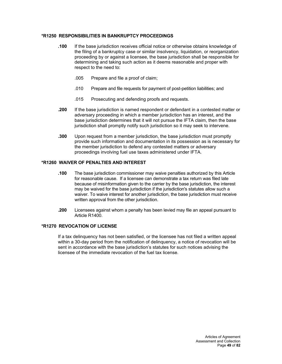# **\*R1250 RESPONSIBILITIES IN BANKRUPTCY PROCEEDINGS**

- **.100** If the base jurisdiction receives official notice or otherwise obtains knowledge of the filing of a bankruptcy case or similar insolvency, liquidation, or reorganization proceeding by or against a licensee, the base jurisdiction shall be responsible for determining and taking such action as it deems reasonable and proper with respect to the need to:
	- .005 Prepare and file a proof of claim;
	- .010 Prepare and file requests for payment of post-petition liabilities; and
	- .015 Prosecuting and defending proofs and requests.
- **.200** If the base jurisdiction is named respondent or defendant in a contested matter or adversary proceeding in which a member jurisdiction has an interest, and the base jurisdiction determines that it will not pursue the IFTA claim, then the base jurisdiction shall promptly notify such jurisdiction so it may seek to intervene.
- **.300** Upon request from a member jurisdiction, the base jurisdiction must promptly provide such information and documentation in its possession as is necessary for the member jurisdiction to defend any contested matters or adversary proceedings involving fuel use taxes administered under IFTA.

## **\*R1260 WAIVER OF PENALTIES AND INTEREST**

- **.100** The base jurisdiction commissioner may waive penalties authorized by this Article for reasonable cause. If a licensee can demonstrate a tax return was filed late because of misinformation given to the carrier by the base jurisdiction, the interest may be waived for the base jurisdiction if the jurisdiction's statutes allow such a waiver. To waive interest for another jurisdiction, the base jurisdiction must receive written approval from the other jurisdiction.
- **.200** Licensees against whom a penalty has been levied may file an appeal pursuant to Article R1400.

# **\*R1270 REVOCATION OF LICENSE**

If a tax delinquency has not been satisfied, or the licensee has not filed a written appeal within a 30-day period from the notification of delinquency, a notice of revocation will be sent in accordance with the base jurisdiction's statutes for such notices advising the licensee of the immediate revocation of the fuel tax license.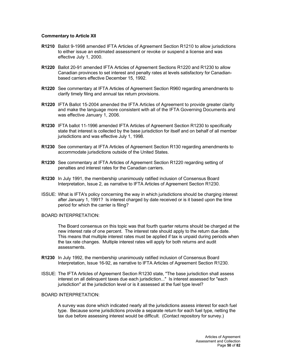## **Commentary to Article XII**

- **R1210** Ballot 9-1998 amended IFTA Articles of Agreement Section R1210 to allow jurisdictions to either issue an estimated assessment or revoke or suspend a license and was effective July 1, 2000.
- **R1220** Ballot 20-91 amended IFTA Articles of Agreement Sections R1220 and R1230 to allow Canadian provinces to set interest and penalty rates at levels satisfactory for Canadianbased carriers effective December 15, 1992.
- **R1220** See commentary at IFTA Articles of Agreement Section R960 regarding amendments to clarify timely filing and annual tax return provisions.
- **R1220** IFTA Ballot 15-2004 amended the IFTA Articles of Agreement to provide greater clarity and make the language more consistent with all of the IFTA Governing Documents and was effective January 1, 2006.
- **R1230** IFTA ballot 11-1996 amended IFTA Articles of Agreement Section R1230 to specifically state that interest is collected by the base jurisdiction for itself and on behalf of all member jurisdictions and was effective July 1, 1998.
- **R1230** See commentary at IFTA Articles of Agreement Section R130 regarding amendments to accommodate jurisdictions outside of the United States.
- **R1230** See commentary at IFTA Articles of Agreement Section R1220 regarding setting of penalties and interest rates for the Canadian carriers.
- **R1230** In July 1991, the membership unanimously ratified inclusion of Consensus Board Interpretation, Issue 2, as narrative to IFTA Articles of Agreement Section R1230.
- ISSUE: What is IFTA's policy concerning the way in which jurisdictions should be charging interest after January 1, 1991? Is interest charged by date received or is it based upon the time period for which the carrier is filing?

## BOARD INTERPRETATION:

The Board consensus on this topic was that fourth quarter returns should be charged at the new interest rate of one percent. The interest rate should apply to the return due date. This means that multiple interest rates must be applied if tax is unpaid during periods when the tax rate changes. Multiple interest rates will apply for both returns and audit assessments.

- **R1230** In July 1992, the membership unanimously ratified inclusion of Consensus Board Interpretation, Issue 16-92, as narrative to IFTA Articles of Agreement Section R1230.
- ISSUE: The IFTA Articles of Agreement Section R1230 state, "The base jurisdiction shall assess interest on all delinquent taxes due each jurisdiction..." Is interest assessed for "each jurisdiction" at the jurisdiction level or is it assessed at the fuel type level?

#### BOARD INTERPRETATION:

A survey was done which indicated nearly all the jurisdictions assess interest for each fuel type. Because some jurisdictions provide a separate return for each fuel type, netting the tax due before assessing interest would be difficult. (Contact repository for survey.)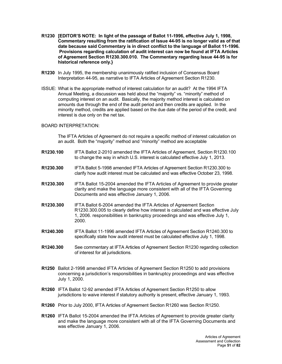- **R1230 [EDITOR'S NOTE: In light of the passage of Ballot 11-1996, effective July 1, 1998, Commentary resulting from the ratification of Issue 44-95 is no longer valid as of that date because said Commentary is in direct conflict to the language of Ballot 11-1996. Provisions regarding calculation of audit interest can now be found at IFTA Articles of Agreement Section R1230.300.010. The Commentary regarding Issue 44-95 is for historical reference only.}**
- **R1230** In July 1995, the membership unanimously ratified inclusion of Consensus Board Interpretation 44-95, as narrative to IFTA Articles of Agreement Section R1230.
- ISSUE: What is the appropriate method of interest calculation for an audit? At the 1994 IFTA Annual Meeting, a discussion was held about the "majority" vs. "minority" method of computing interest on an audit. Basically, the majority method interest is calculated on amounts due through the end of the audit period and then credits are applied. In the minority method, credits are applied based on the due date of the period of the credit, and interest is due only on the net tax.

### BOARD INTERPRETATION:

The IFTA Articles of Agreement do not require a specific method of interest calculation on an audit. Both the "majority" method and "minority" method are acceptable

- **R1230.100** IFTA Ballot 2-2010 amended the IFTA Articles of Agreement, Section R1230.100 to change the way in which U.S. interest is calculated effective July 1, 2013.
- **R1230.300** IFTA Ballot 5-1998 amended IFTA Articles of Agreement Section R1230.300 to clarify how audit interest must be calculated and was effective October 23, 1998.
- **R1230.300** IFTA Ballot 15-2004 amended the IFTA Articles of Agreement to provide greater clarity and make the language more consistent with all of the IFTA Governing Documents and was effective January 1, 2006.
- **R1230.300** IFTA Ballot 6-2004 amended the IFTA Articles of Agreement Section R1230.300.005 to clearly define how interest is calculated and was effective July 1, 2006. responsibilities in bankruptcy proceedings and was effective July 1, 2000.
- **R1240.300** IFTA Ballot 11-1996 amended IFTA Articles of Agreement Section R1240.300 to specifically state how audit interest must be calculated effective July 1, 1998.
- **R1240.300** See commentary at IFTA Articles of Agreement Section R1230 regarding collection of interest for all jurisdictions.
- **R1250** Ballot 2-1998 amended IFTA Articles of Agreement Section R1250 to add provisions concerning a jurisdiction's responsibilities in bankruptcy proceedings and was effective July 1, 2000.
- **R1260** IFTA Ballot 12-92 amended IFTA Articles of Agreement Section R1250 to allow jurisdictions to waive interest if statutory authority is present, effective January 1, 1993.
- **R1260** Prior to July 2000, IFTA Articles of Agreement Section R1260 was Section R1250.
- **R1260** IFTA Ballot 15-2004 amended the IFTA Articles of Agreement to provide greater clarity and make the language more consistent with all of the IFTA Governing Documents and was effective January 1, 2006.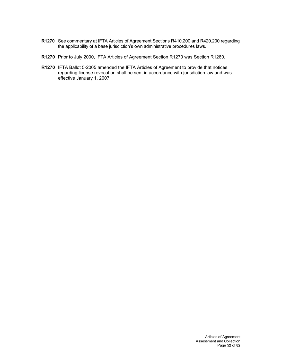- **R1270** See commentary at IFTA Articles of Agreement Sections R410.200 and R420.200 regarding the applicability of a base jurisdiction's own administrative procedures laws.
- **R1270** Prior to July 2000, IFTA Articles of Agreement Section R1270 was Section R1260.
- **R1270** IFTA Ballot 5-2005 amended the IFTA Articles of Agreement to provide that notices regarding license revocation shall be sent in accordance with jurisdiction law and was effective January 1, 2007.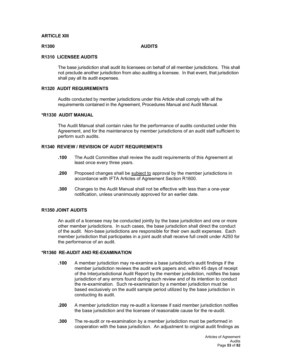# **ARTICLE XIII**

### **R1300 AUDITS**

## **R1310 LICENSEE AUDITS**

The base jurisdiction shall audit its licensees on behalf of all member jurisdictions. This shall not preclude another jurisdiction from also auditing a licensee. In that event, that jurisdiction shall pay all its audit expenses.

### **R1320 AUDIT REQUIREMENTS**

Audits conducted by member jurisdictions under this Article shall comply with all the requirements contained in the Agreement, Procedures Manual and Audit Manual.

## **\*R1330 AUDIT MANUAL**

The Audit Manual shall contain rules for the performance of audits conducted under this Agreement, and for the maintenance by member jurisdictions of an audit staff sufficient to perform such audits.

# **R1340 REVIEW / REVISION OF AUDIT REQUIREMENTS**

- **.100** The Audit Committee shall review the audit requirements of this Agreement at least once every three years.
- **.200** Proposed changes shall be subject to approval by the member jurisdictions in accordance with IFTA Articles of Agreement Section R1600.
- **.300** Changes to the Audit Manual shall not be effective with less than a one-year notification, unless unanimously approved for an earlier date.

#### **R1350 JOINT AUDITS**

An audit of a licensee may be conducted jointly by the base jurisdiction and one or more other member jurisdictions. In such cases, the base jurisdiction shall direct the conduct of the audit. Non-base jurisdictions are responsible for their own audit expenses. Each member jurisdiction that participates in a joint audit shall receive full credit under A250 for the performance of an audit.

### **\*R1360 RE-AUDIT AND RE-EXAMINATION**

- **.100** A member jurisdiction may re-examine a base jurisdiction's audit findings if the member jurisdiction reviews the audit work papers and, within 45 days of receipt of the Interjurisdictional Audit Report by the member jurisdiction, notifies the base jurisdiction of any errors found during such review and of its intention to conduct the re-examination. Such re-examination by a member jurisdiction must be based exclusively on the audit sample period utilized by the base jurisdiction in conducting its audit.
- **.200** A member jurisdiction may re-audit a licensee if said member jurisdiction notifies the base jurisdiction and the licensee of reasonable cause for the re-audit.
- **.300** The re-audit or re-examination by a member jurisdiction must be performed in cooperation with the base jurisdiction. An adjustment to original audit findings as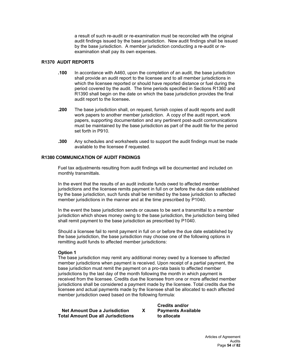a result of such re-audit or re-examination must be reconciled with the original audit findings issued by the base jurisdiction. New audit findings shall be issued by the base jurisdiction. A member jurisdiction conducting a re-audit or reexamination shall pay its own expenses.

# **R1370 AUDIT REPORTS**

- **.100** In accordance with A460, upon the completion of an audit, the base jurisdiction shall provide an audit report to the licensee and to all member jurisdictions in which the licensee reported or should have reported distance or fuel during the period covered by the audit. The time periods specified in Sections R1360 and R1390 shall begin on the date on which the base jurisdiction provides the final audit report to the licensee**.**
- **.200** The base jurisdiction shall, on request, furnish copies of audit reports and audit work papers to another member jurisdiction. A copy of the audit report, work papers, supporting documentation and any pertinent post-audit communications must be maintained by the base jurisdiction as part of the audit file for the period set forth in P910.
- **.300** Any schedules and worksheets used to support the audit findings must be made available to the licensee if requested.

# **R1380 COMMUNICATION OF AUDIT FINDINGS**

Fuel tax adjustments resulting from audit findings will be documented and included on monthly transmittals.

In the event that the results of an audit indicate funds owed to affected member jurisdictions and the licensee remits payment in full on or before the due date established by the base jurisdiction, such funds shall be remitted by the base jurisdiction to affected member jurisdictions in the manner and at the time prescribed by P1040.

In the event the base jurisdiction sends or causes to be sent a transmittal to a member jurisdiction which shows money owing to the base jurisdiction, the jurisdiction being billed shall remit payment to the base jurisdiction as prescribed by P1040.

Should a licensee fail to remit payment in full on or before the due date established by the base jurisdiction, the base jurisdiction may choose one of the following options in remitting audit funds to affected member jurisdictions:

## **Option 1**

The base jurisdiction may remit any additional money owed by a licensee to affected member jurisdictions when payment is received. Upon receipt of a partial payment, the base jurisdiction must remit the payment on a pro-rata basis to affected member jurisdictions by the last day of the month following the month in which payment is received from the licensee. Credits due the licensee from one or more affected member jurisdictions shall be considered a payment made by the licensee. Total credits due the licensee and actual payments made by the licensee shall be allocated to each affected member jurisdiction owed based on the following formula:

**Net Amount Due a Jurisdiction X** Payments Available<br>The Muslim and Jurisdictions to allocate **Total Amount Due all Jurisdictions** 

**Credits and/or**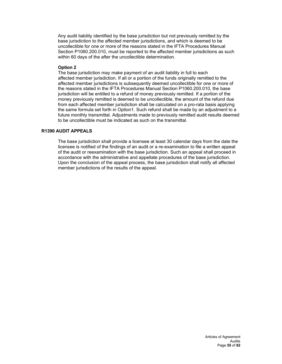Any audit liability identified by the base jurisdiction but not previously remitted by the base jurisdiction to the affected member jurisdictions, and which is deemed to be uncollectible for one or more of the reasons stated in the IFTA Procedures Manual Section P1060.200.010, must be reported to the affected member jurisdictions as such within 60 days of the after the uncollectible determination.

## **Option 2**

The base jurisdiction may make payment of an audit liability in full to each affected member jurisdiction. If all or a portion of the funds originally remitted to the affected member jurisdictions is subsequently deemed uncollectible for one or more of the reasons stated in the IFTA Procedures Manual Section P1060.200.010, the base jurisdiction will be entitled to a refund of money previously remitted. If a portion of the money previously remitted is deemed to be uncollectible, the amount of the refund due from each affected member jurisdiction shall be calculated on a pro-rata basis applying the same formula set forth in Option1. Such refund shall be made by an adjustment to a future monthly transmittal. Adjustments made to previously remitted audit results deemed to be uncollectible must be indicated as such on the transmittal.

# **R1390 AUDIT APPEALS**

The base jurisdiction shall provide a licensee at least 30 calendar days from the date the licensee is notified of the findings of an audit or a re-examination to file a written appeal of the audit or reexamination with the base jurisdiction. Such an appeal shall proceed in accordance with the administrative and appellate procedures of the base jurisdiction. Upon the conclusion of the appeal process, the base jurisdiction shall notify all affected member jurisdictions of the results of the appeal.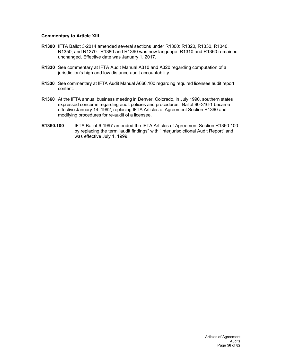## **Commentary to Article XIII**

- **R1300** IFTA Ballot 3-2014 amended several sections under R1300: R1320, R1330, R1340, R1350, and R1370. R1380 and R1390 was new language. R1310 and R1360 remained unchanged. Effective date was January 1, 2017.
- **R1330** See commentary at IFTA Audit Manual A310 and A320 regarding computation of a jurisdiction's high and low distance audit accountability.
- **R1330** See commentary at IFTA Audit Manual A660.100 regarding required licensee audit report content.
- **R1360** At the IFTA annual business meeting in Denver, Colorado, in July 1990, southern states expressed concerns regarding audit policies and procedures. Ballot 90-316-1 became effective January 14, 1992, replacing IFTA Articles of Agreement Section R1360 and modifying procedures for re-audit of a licensee.
- **R1360.100** IFTA Ballot 6-1997 amended the IFTA Articles of Agreement Section R1360.100 by replacing the term "audit findings" with "Interjurisdictional Audit Report" and was effective July 1, 1999.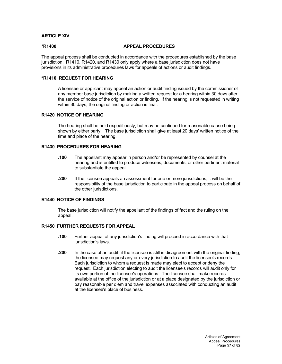# **ARTICLE XIV**

### **\*R1400 APPEAL PROCEDURES**

The appeal process shall be conducted in accordance with the procedures established by the base jurisdiction. R1410, R1420, and R1430 only apply where a base jurisdiction does not have provisions in its administrative procedures laws for appeals of actions or audit findings.

## **\*R1410 REQUEST FOR HEARING**

A licensee or applicant may appeal an action or audit finding issued by the commissioner of any member base jurisdiction by making a written request for a hearing within 30 days after the service of notice of the original action or finding. If the hearing is not requested in writing within 30 days, the original finding or action is final.

# **R1420 NOTICE OF HEARING**

The hearing shall be held expeditiously, but may be continued for reasonable cause being shown by either party. The base jurisdiction shall give at least 20 days' written notice of the time and place of the hearing.

## **R1430 PROCEDURES FOR HEARING**

- **.100** The appellant may appear in person and/or be represented by counsel at the hearing and is entitled to produce witnesses, documents, or other pertinent material to substantiate the appeal.
- **.200** If the licensee appeals an assessment for one or more jurisdictions, it will be the responsibility of the base jurisdiction to participate in the appeal process on behalf of the other jurisdictions.

# **R1440 NOTICE OF FINDINGS**

The base jurisdiction will notify the appellant of the findings of fact and the ruling on the appeal.

# **R1450 FURTHER REQUESTS FOR APPEAL**

- **.100** Further appeal of any jurisdiction's finding will proceed in accordance with that jurisdiction's laws.
- **.200** In the case of an audit, if the licensee is still in disagreement with the original finding, the licensee may request any or every jurisdiction to audit the licensee's records. Each jurisdiction to whom a request is made may elect to accept or deny the request. Each jurisdiction electing to audit the licensee's records will audit only for its own portion of the licensee's operations. The licensee shall make records available at the office of the jurisdiction or at a place designated by the jurisdiction or pay reasonable per diem and travel expenses associated with conducting an audit at the licensee's place of business.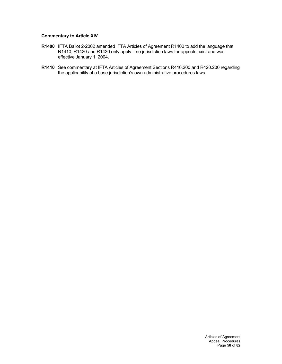# **Commentary to Article XIV**

- **R1400** IFTA Ballot 2-2002 amended IFTA Articles of Agreement R1400 to add the language that R1410, R1420 and R1430 only apply if no jurisdiction laws for appeals exist and was effective January 1, 2004.
- **R1410** See commentary at IFTA Articles of Agreement Sections R410.200 and R420.200 regarding the applicability of a base jurisdiction's own administrative procedures laws.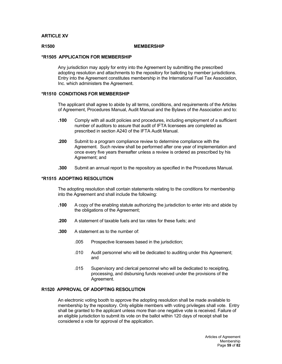# **ARTICLE XV**

#### **R1500 MEMBERSHIP**

## **\*R1505 APPLICATION FOR MEMBERSHIP**

Any jurisdiction may apply for entry into the Agreement by submitting the prescribed adopting resolution and attachments to the repository for balloting by member jurisdictions. Entry into the Agreement constitutes membership in the International Fuel Tax Association, Inc. which administers the Agreement.

## **\*R1510 CONDITIONS FOR MEMBERSHIP**

The applicant shall agree to abide by all terms, conditions, and requirements of the Articles of Agreement, Procedures Manual, Audit Manual and the Bylaws of the Association and to:

- **.100** Comply with all audit policies and procedures, including employment of a sufficient number of auditors to assure that audit of IFTA licensees are completed as prescribed in section A240 of the IFTA Audit Manual.
- **.200** Submit to a program compliance review to determine compliance with the Agreement. Such review shall be performed after one year of implementation and once every five years thereafter unless a review is ordered as prescribed by his Agreement; and
- **.300** Submit an annual report to the repository as specified in the Procedures Manual.

### **\*R1515 ADOPTING RESOLUTION**

The adopting resolution shall contain statements relating to the conditions for membership into the Agreement and shall include the following:

- **.100** A copy of the enabling statute authorizing the jurisdiction to enter into and abide by the obligations of the Agreement;
- **.200** A statement of taxable fuels and tax rates for these fuels; and
- **.300** A statement as to the number of:
	- .005 Prospective licensees based in the jurisdiction;
	- .010 Audit personnel who will be dedicated to auditing under this Agreement; and
	- .015 Supervisory and clerical personnel who will be dedicated to receipting, processing, and disbursing funds received under the provisions of the Agreement.

# **R1520 APPROVAL OF ADOPTING RESOLUTION**

An electronic voting booth to approve the adopting resolution shall be made available to membership by the repository. Only eligible members with voting privileges shall vote. Entry shall be granted to the applicant unless more than one negative vote is received. Failure of an eligible jurisdiction to submit its vote on the ballot within 120 days of receipt shall be considered a vote for approval of the application.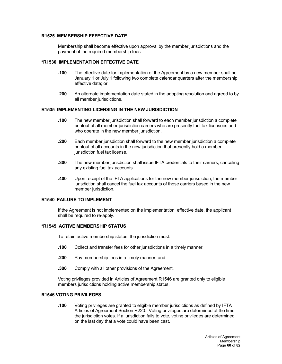# **R1525 MEMBERSHIP EFFECTIVE DATE**

Membership shall become effective upon approval by the member jurisdictions and the payment of the required membership fees.

## **\*R1530 IMPLEMENTATION EFFECTIVE DATE**

- **.100** The effective date for implementation of the Agreement by a new member shall be January 1 or July 1 following two complete calendar quarters after the membership effective date; or
- **.200** An alternate implementation date stated in the adopting resolution and agreed to by all member jurisdictions.

## **R1535 IMPLEMENTING LICENSING IN THE NEW JURISDICTION**

- **.100** The new member jurisdiction shall forward to each member jurisdiction a complete printout of all member jurisdiction carriers who are presently fuel tax licensees and who operate in the new member jurisdiction.
- **.200** Each member jurisdiction shall forward to the new member jurisdiction a complete printout of all accounts in the new jurisdiction that presently hold a member jurisdiction fuel tax license.
- **.300** The new member jurisdiction shall issue IFTA credentials to their carriers, canceling any existing fuel tax accounts.
- **.400** Upon receipt of the IFTA applications for the new member jurisdiction, the member jurisdiction shall cancel the fuel tax accounts of those carriers based in the new member jurisdiction.

# **R1540 FAILURE TO IMPLEMENT**

If the Agreement is not implemented on the implementation effective date, the applicant shall be required to re-apply.

## **\*R1545 ACTIVE MEMBERSHIP STATUS**

To retain active membership status, the jurisdiction must:

- **.100** Collect and transfer fees for other jurisdictions in a timely manner;
- **.200** Pay membership fees in a timely manner; and
- **.300** Comply with all other provisions of the Agreement.

Voting privileges provided in Articles of Agreement R1546 are granted only to eligible members jurisdictions holding active membership status.

## **R1546 VOTING PRIVILEGES**

**.100** Voting privileges are granted to eligible member jurisdictions as defined by IFTA Articles of Agreement Section R220. Voting privileges are determined at the time the jurisdiction votes. If a jurisdiction fails to vote, voting privileges are determined on the last day that a vote could have been cast.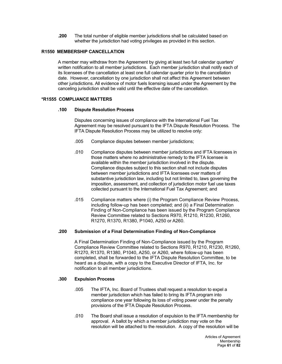**.200** The total number of eligible member jurisdictions shall be calculated based on whether the jurisdiction had voting privileges as provided in this section.

# **R1550 MEMBERSHIP CANCELLATION**

A member may withdraw from the Agreement by giving at least two full calendar quarters' written notification to all member jurisdictions. Each member jurisdiction shall notify each of its licensees of the cancellation at least one full calendar quarter prior to the cancellation date. However, cancellation by one jurisdiction shall not affect this Agreement between other jurisdictions. All evidence of motor fuels licensing issued under the Agreement by the canceling jurisdiction shall be valid until the effective date of the cancellation.

## **\*R1555 COMPLIANCE MATTERS**

### **.100 Dispute Resolution Process**

Disputes concerning issues of compliance with the International Fuel Tax Agreement may be resolved pursuant to the IFTA Dispute Resolution Process. The IFTA Dispute Resolution Process may be utilized to resolve only:

- .005 Compliance disputes between member jurisdictions;
- .010 Compliance disputes between member jurisdictions and IFTA licensees in those matters where no administrative remedy to the IFTA licensee is available within the member jurisdiction involved in the dispute. Compliance disputes subject to this section shall not include disputes between member jurisdictions and IFTA licensees over matters of substantive jurisdiction law, including but not limited to, laws governing the imposition, assessment, and collection of jurisdiction motor fuel use taxes collected pursuant to the International Fuel Tax Agreement; and
- .015 Compliance matters where (i) the Program Compliance Review Process, including follow-up has been completed; and (ii) a Final Determination Finding of Non-Compliance has been issued by the Program Compliance Review Committee related to Sections R970, R1210, R1230, R1260, R1270, R1370, R1380, P1040, A250 or A260.

## **.200 Submission of a Final Determination Finding of Non-Compliance**

A Final Determination Finding of Non-Compliance issued by the Program Compliance Review Committee related to Sections R970, R1210, R1230, R1260, R1270, R1370, R1380, P1040, A250, or A260, where follow-up has been completed, shall be forwarded to the IFTA Dispute Resolution Committee, to be heard as a dispute, with a copy to the Executive Director of IFTA, Inc. for notification to all member jurisdictions.

#### **.300 Expulsion Process**

- .005 The IFTA, Inc. Board of Trustees shall request a resolution to expel a member jurisdiction which has failed to bring its IFTA program into compliance one year following its loss of voting power under the penalty provisions of the IFTA Dispute Resolution Process.
- .010 The Board shall issue a resolution of expulsion to the IFTA membership for approval. A ballot by which a member jurisdiction may vote on the resolution will be attached to the resolution. A copy of the resolution will be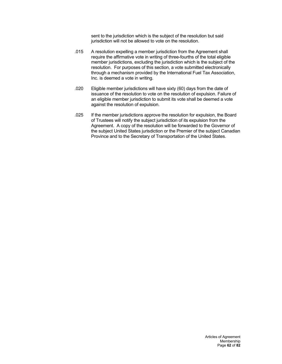sent to the jurisdiction which is the subject of the resolution but said jurisdiction will not be allowed to vote on the resolution.

- .015 A resolution expelling a member jurisdiction from the Agreement shall require the affirmative vote in writing of three-fourths of the total eligible member jurisdictions, excluding the jurisdiction which is the subject of the resolution. For purposes of this section, a vote submitted electronically through a mechanism provided by the International Fuel Tax Association, Inc. is deemed a vote in writing.
- .020 Eligible member jurisdictions will have sixty (60) days from the date of issuance of the resolution to vote on the resolution of expulsion. Failure of an eligible member jurisdiction to submit its vote shall be deemed a vote against the resolution of expulsion.
- .025 If the member jurisdictions approve the resolution for expulsion, the Board of Trustees will notify the subject jurisdiction of its expulsion from the Agreement. A copy of the resolution will be forwarded to the Governor of the subject United States jurisdiction or the Premier of the subject Canadian Province and to the Secretary of Transportation of the United States.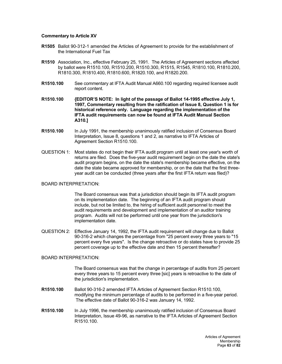## **Commentary to Article XV**

- **R1505** Ballot 90-312-1 amended the Articles of Agreement to provide for the establishment of the International Fuel Tax
- **R1510** Association, Inc., effective February 25, 1991. The Articles of Agreement sections affected by ballot were R1510.100, R1510.200, R1510.300, R1515, R1545, R1810.100, R1810.200, R1810.300, R1810.400, R1810.600, R1820.100, and R1820.200.
- **R1510.100** See commentary at IFTA Audit Manual A660.100 regarding required licensee audit report content.
- **R1510.100 {EDITOR'S NOTE: In light of the passage of Ballot 14-1995 effective July 1, 1997, Commentary resulting from the ratification of Issue 8, Question 1 is for historical reference only. Language regarding the implementation of the IFTA audit requirements can now be found at IFTA Audit Manual Section A310.]**
- **R1510.100** In July 1991, the membership unanimously ratified inclusion of Consensus Board Interpretation, Issue 8, questions 1 and 2, as narrative to IFTA Articles of Agreement Section R1510.100.
- QUESTION 1: Most states do not begin their IFTA audit program until at least one year's worth of returns are filed. Does the five-year audit requirement begin on the date the state's audit program begins, on the date the state's membership became effective, on the date the state became approved for membership, or on the date that the first threeyear audit can be conducted (three years after the first IFTA return was filed)?

#### BOARD INTERPRETATION:

The Board consensus was that a jurisdiction should begin its IFTA audit program on its implementation date. The beginning of an IFTA audit program should include, but not be limited to, the hiring of sufficient audit personnel to meet the audit requirements and development and implementation of an auditor training program. Audits will not be performed until one year from the jurisdiction's implementation date.

QUESTION 2: Effective January 14, 1992, the IFTA audit requirement will change due to Ballot 90-316-2 which changes the percentage from "25 percent every three years to "15 percent every five years". Is the change retroactive or do states have to provide 25 percent coverage up to the effective date and then 15 percent thereafter?

# BOARD INTERPRETATION:

The Board consensus was that the change in percentage of audits from 25 percent every three years to 15 percent every three [sic] years is retroactive to the date of the jurisdiction's implementation.

- **R1510.100** Ballot 90-316-2 amended IFTA Articles of Agreement Section R1510.100, modifying the minimum percentage of audits to be performed in a five-year period. The effective date of Ballot 90-316-2 was January 14, 1992.
- **R1510.100** In July 1996, the membership unanimously ratified inclusion of Consensus Board Interpretation, Issue 49-96, as narrative to the IFTA Articles of Agreement Section R1510.100.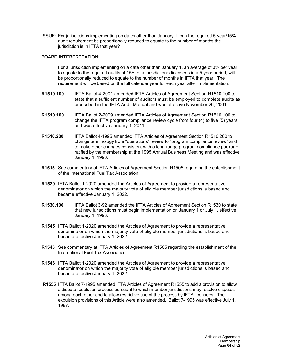ISSUE: For jurisdictions implementing on dates other than January 1, can the required 5-year/15% audit requirement be proportionally reduced to equate to the number of months the jurisdiction is in IFTA that year?

## BOARD INTERPRETATION:

For a jurisdiction implementing on a date other than January 1, an average of 3% per year to equate to the required audits of 15% of a jurisdiction's licensees in a 5-year period, will be proportionally reduced to equate to the number of months in IFTA that year. The requirement will be based on the full calendar year for each year after implementation.

- **R1510.100** IFTA Ballot 4-2001 amended IFTA Articles of Agreement Section R1510.100 to state that a sufficient number of auditors must be employed to complete audits as prescribed in the IFTA Audit Manual and was effective November 26, 2001.
- **R1510.100** IFTA Ballot 2-2009 amended IFTA Articles of Agreement Section R1510.100 to change the IFTA program compliance review cycle from four (4) to five (5) years and was effective January 1, 2011.
- **R1510.200** IFTA Ballot 4-1995 amended IFTA Articles of Agreement Section R1510.200 to change terminology from "operations" review to "program compliance review" and to make other changes consistent with a long-range program compliance package ratified by the membership at the 1995 Annual Business Meeting and was effective January 1, 1996.
- **R1515** See commentary at IFTA Articles of Agreement Section R1505 regarding the establishment of the International Fuel Tax Association.
- **R1520** IFTA Ballot 1-2020 amended the Articles of Agreement to provide a representative denominator on which the majority vote of eligible member jurisdictions is based and became effective January 1, 2022.
- **R1530.100** IFTA Ballot 3-92 amended the IFTA Articles of Agreement Section R1530 to state that new jurisdictions must begin implementation on January 1 or July 1, effective January 1, 1993.
- **R1545** IFTA Ballot 1-2020 amended the Articles of Agreement to provide a representative denominator on which the majority vote of eligible member jurisdictions is based and became effective January 1, 2022.
- **R1545** See commentary at IFTA Articles of Agreement R1505 regarding the establishment of the International Fuel Tax Association.
- **R1546** IFTA Ballot 1-2020 amended the Articles of Agreement to provide a representative denominator on which the majority vote of eligible member jurisdictions is based and became effective January 1, 2022.
- **R1555** IFTA Ballot 7-1995 amended IFTA Articles of Agreement R1555 to add a provision to allow a dispute resolution process pursuant to which member jurisdictions may resolve disputes among each other and to allow restrictive use of the process by IFTA licensees. The expulsion provisions of this Article were also amended. Ballot 7-1995 was effective July 1, 1997.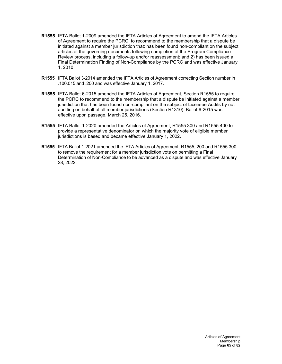- **R1555** IFTA Ballot 1-2009 amended the IFTA Articles of Agreement to amend the IFTA Articles of Agreement to require the PCRC to recommend to the membership that a dispute be initiated against a member jurisdiction that: has been found non-compliant on the subject articles of the governing documents following completion of the Program Compliance Review process, including a follow-up and/or reassessment; and 2) has been issued a Final Determination Finding of Non-Compliance by the PCRC and was effective January 1, 2010.
- **R1555** IFTA Ballot 3-2014 amended the IFTA Articles of Agreement correcting Section number in .100.015 and .200 and was effective January 1, 2017.
- **R1555** IFTA Ballot 6-2015 amended the IFTA Articles of Agreement, Section R1555 to require the PCRC to recommend to the membership that a dispute be initiated against a member jurisdiction that has been found non-compliant on the subject of Licensee Audits by not auditing on behalf of all member jurisdictions (Section R1310). Ballot 6-2015 was effective upon passage, March 25, 2016.
- **R1555** IFTA Ballot 1-2020 amended the Articles of Agreement, R1555.300 and R1555.400 to provide a representative denominator on which the majority vote of eligible member jurisdictions is based and became effective January 1, 2022.
- **R1555** IFTA Ballot 1-2021 amended the IFTA Articles of Agreement, R1555, 200 and R1555.300 to remove the requirement for a member jurisdiction vote on permitting a Final Determination of Non-Compliance to be advanced as a dispute and was effective January 28, 2022.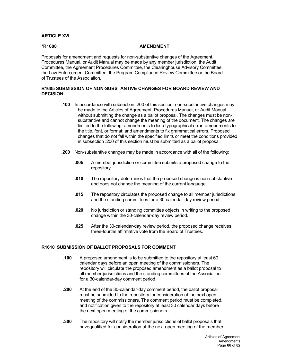# **ARTICLE XVI**

## **\*R1600 AMENDMENT**

Proposals for amendment and requests for non-substantive changes of the Agreement, Procedures Manual, or Audit Manual may be made by any member jurisdiction, the Audit Committee, the Agreement Procedures Committee, the Clearinghouse Advisory Committee, the Law Enforcement Committee, the Program Compliance Review Committee or the Board of Trustees of the Association.

# **R1605 SUBMISSION OF NON-SUBSTANTIVE CHANGES FOR BOARD REVIEW AND DECISION**

- **.100** In accordance with subsection .200 of this section, non-substantive changes may be made to the Articles of Agreement, Procedures Manual, or Audit Manual without submitting the change as a ballot proposal. The changes must be nonsubstantive and cannot change the meaning of the document. The changes are limited to the following: amendments to fix a typographical error; amendments to the title, font, or format; and amendments to fix grammatical errors. Proposed changes that do not fall within the specified limits or meet the conditions provided in subsection .200 of this section must be submitted as a ballot proposal.
- **.200** Non-substantive changes may be made in accordance with all of the following:
	- **.005** A member jurisdiction or committee submits a proposed change to the repository.
	- **.010** The repository determines that the proposed change is non-substantive and does not change the meaning of the current language.
	- **.015** The repository circulates the proposed change to all member jurisdictions and the standing committees for a 30-calendar-day review period.
	- **.020** No jurisdiction or standing committee objects in writing to the proposed change within the 30-calendar-day review period.
	- **.025** After the 30-calendar-day review period, the proposed change receives three-fourths affirmative vote from the Board of Trustees.

## **R1610 SUBMISSION OF BALLOT PROPOSALS FOR COMMENT**

- **.100** A proposed amendment is to be submitted to the repository at least 60 calendar days before an open meeting of the commissioners. The repository will circulate the proposed amendment as a ballot proposal to all member jurisdictions and the standing committees of the Association for a 30-calendar-day comment period.
- **.200** At the end of the 30-calendar-day comment period, the ballot proposal must be submitted to the repository for consideration at the next open meeting of the commissioners. The comment period must be completed, and notification given to the repository at least 30 calendar days before the next open meeting of the commissioners.
- **.300** The repository will notify the member jurisdictions of ballot proposals that havequalified for consideration at the next open meeting of the member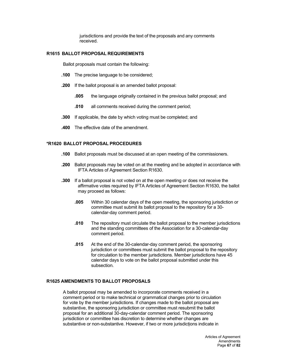jurisdictions and provide the text of the proposals and any comments received.

## **R1615 BALLOT PROPOSAL REQUIREMENTS**

Ballot proposals must contain the following:

- **.100** The precise language to be considered;
- **.200** If the ballot proposal is an amended ballot proposal:
	- **.005** the language originally contained in the previous ballot proposal; and
	- **.010** all comments received during the comment period;
- **.300** If applicable, the date by which voting must be completed; and
- **.400** The effective date of the amendment.

#### **\*R1620 BALLOT PROPOSAL PROCEDURES**

- **.100** Ballot proposals must be discussed at an open meeting of the commissioners.
- **.200** Ballot proposals may be voted on at the meeting and be adopted in accordance with IFTA Articles of Agreement Section R1630.
- **.300** If a ballot proposal is not voted on at the open meeting or does not receive the affirmative votes required by IFTA Articles of Agreement Section R1630, the ballot may proceed as follows:
	- **.005** Within 30 calendar days of the open meeting, the sponsoring jurisdiction or committee must submit its ballot proposal to the repository for a 30 calendar-day comment period.
	- **.010** The repository must circulate the ballot proposal to the member jurisdictions and the standing committees of the Association for a 30-calendar-day comment period.
	- **.015** At the end of the 30-calendar-day comment period, the sponsoring jurisdiction or committees must submit the ballot proposal to the repository for circulation to the member jurisdictions. Member jurisdictions have 45 calendar days to vote on the ballot proposal submitted under this subsection.

# **R1625 AMENDMENTS TO BALLOT PROPOSALS**

A ballot proposal may be amended to incorporate comments received in a comment period or to make technical or grammatical changes prior to circulation for vote by the member jurisdictions. If changes made to the ballot proposal are substantive, the sponsoring jurisdiction or committee must resubmit the ballot proposal for an additional 30-day-calendar comment period. The sponsoring jurisdiction or committee has discretion to determine whether changes are substantive or non-substantive. However, if two or more jurisdictions indicate in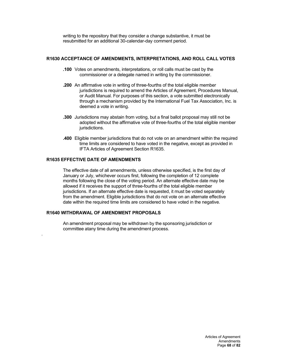writing to the repository that they consider a change substantive, it must be resubmitted for an additional 30-calendar-day comment period.

## **R1630 ACCEPTANCE OF AMENDMENTS, INTERPRETATIONS, AND ROLL CALL VOTES**

- **.100** Votes on amendments, interpretations, or roll calls must be cast by the commissioner or a delegate named in writing by the commissioner.
- **.200** An affirmative vote in writing of three-fourths of the total eligible member jurisdictions is required to amend the Articles of Agreement, Procedures Manual, or Audit Manual. For purposes of this section, a vote submitted electronically through a mechanism provided by the International Fuel Tax Association, Inc. is deemed a vote in writing.
- **.300** Jurisdictions may abstain from voting, but a final ballot proposal may still not be adopted without the affirmative vote of three-fourths of the total eligible member jurisdictions.
- **.400** Eligible member jurisdictions that do not vote on an amendment within the required time limits are considered to have voted in the negative, except as provided in IFTA Articles of Agreement Section R1635.

# **R1635 EFFECTIVE DATE OF AMENDMENTS**

The effective date of all amendments, unless otherwise specified, is the first day of January or July, whichever occurs first, following the completion of 12 complete months following the close of the voting period. An alternate effective date may be allowed if it receives the support of three-fourths of the total eligible member jurisdictions. If an alternate effective date is requested, it must be voted separately from the amendment. Eligible jurisdictions that do not vote on an alternate effective date within the required time limits are considered to have voted in the negative.

# **R1640 WITHDRAWAL OF AMENDMENT PROPOSALS**

.

An amendment proposal may be withdrawn by the sponsoring jurisdiction or committee atany time during the amendment process.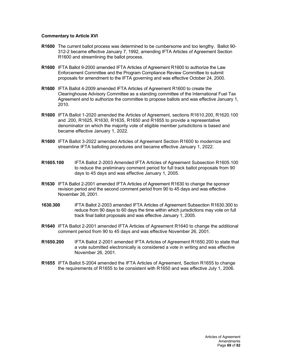## **Commentary to Article XVI**

- **R1600** The current ballot process was determined to be cumbersome and too lengthy. Ballot 90- 312-2 became effective January 7, 1992, amending IFTA Articles of Agreement Section R1600 and streamlining the ballot process.
- **R1600** IFTA Ballot 9-2000 amended IFTA Articles of Agreement R1600 to authorize the Law Enforcement Committee and the Program Compliance Review Committee to submit proposals for amendment to the IFTA governing and was effective October 24, 2000.
- **R1600** IFTA Ballot 4-2009 amended IFTA Articles of Agreement R1600 to create the Clearinghouse Advisory Committee as a standing committee of the International Fuel Tax Agreement and to authorize the committee to propose ballots and was effective January 1, 2010.
- **R1600** IFTA Ballot 1-2020 amended the Articles of Agreement, sections R1610.200, R1620.100 and .200, R1625, R1630, R1635, R1650 and R1655 to provide a representative denominator on which the majority vote of eligible member jurisdictions is based and became effective January 1, 2022.
- **R1600** IFTA Ballot 3-2022 amended Articles of Agreement Section R1600 to modernize and streamline IFTA balloting procedures and became effective January 1, 2022.
- **R1605.100** IFTA Ballot 2-2003 Amended IFTA Articles of Agreement Subsection R1605.100 to reduce the preliminary comment period for full track ballot proposals from 90 days to 45 days and was effective January 1, 2005.
- **R1630** IFTA Ballot 2-2001 amended IFTA Articles of Agreement R1630 to change the sponsor revision period and the second comment period from 90 to 45 days and was effective November 26, 2001.
- **1630.300** IFTA Ballot 2-2003 amended IFTA Articles of Agreement Subsection R1630.300 to reduce from 90 days to 60 days the time within which jurisdictions may vote on full track final ballot proposals and was effective January 1, 2005.
- **R1640** IFTA Ballot 2-2001 amended IFTA Articles of Agreement R1640 to change the additional comment period from 90 to 45 days and was effective November 26, 2001.
- **R1650.200** IFTA Ballot 2-2001 amended IFTA Articles of Agreement R1650.200 to state that a vote submitted electronically is considered a vote in writing and was effective November 26, 2001.
- **R1655** IFTA Ballot 5-2004 amended the IFTA Articles of Agreement, Section R1655 to change the requirements of R1655 to be consistent with R1650 and was effective July 1, 2006.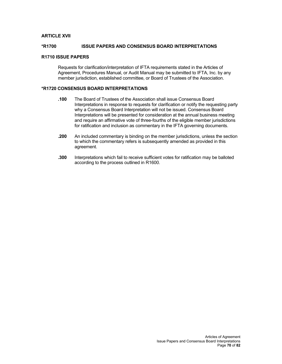# **ARTICLE XVII**

## **\*R1700 ISSUE PAPERS AND CONSENSUS BOARD INTERPRETATIONS**

### **R1710 ISSUE PAPERS**

Requests for clarification/interpretation of IFTA requirements stated in the Articles of Agreement, Procedures Manual, or Audit Manual may be submitted to IFTA, Inc. by any member jurisdiction, established committee, or Board of Trustees of the Association.

## **\*R1720 CONSENSUS BOARD INTERPRETATIONS**

- **.100** The Board of Trustees of the Association shall issue Consensus Board Interpretations in response to requests for clarification or notify the requesting party why a Consensus Board Interpretation will not be issued. Consensus Board Interpretations will be presented for consideration at the annual business meeting and require an affirmative vote of three-fourths of the eligible member jurisdictions for ratification and inclusion as commentary in the IFTA governing documents.
- **.200** An included commentary is binding on the member jurisdictions, unless the section to which the commentary refers is subsequently amended as provided in this agreement.
- **.300** Interpretations which fail to receive sufficient votes for ratification may be balloted according to the process outlined in R1600.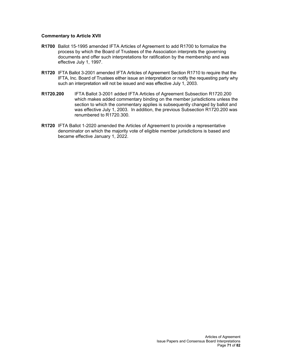## **Commentary to Article XVII**

- **R1700** Ballot 15-1995 amended IFTA Articles of Agreement to add R1700 to formalize the process by which the Board of Trustees of the Association interprets the governing documents and offer such interpretations for ratification by the membership and was effective July 1, 1997.
- **R1720** IFTA Ballot 3-2001 amended IFTA Articles of Agreement Section R1710 to require that the IFTA, Inc. Board of Trustees either issue an interpretation or notify the requesting party why such an interpretation will not be issued and was effective July 1, 2003.
- **R1720.200** IFTA Ballot 3-2001 added IFTA Articles of Agreement Subsection R1720.200 which makes added commentary binding on the member jurisdictions unless the section to which the commentary applies is subsequently changed by ballot and was effective July 1, 2003. In addition, the previous Subsection R1720.200 was renumbered to R1720.300.
- **R1720** IFTA Ballot 1-2020 amended the Articles of Agreement to provide a representative denominator on which the majority vote of eligible member jurisdictions is based and became effective January 1, 2022.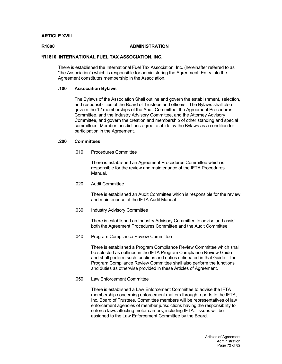## **ARTICLE XVIII**

## **R1800 ADMINISTRATION**

## **\*R1810 INTERNATIONAL FUEL TAX ASSOCIATION, INC.**

There is established the International Fuel Tax Association, Inc. (hereinafter referred to as "the Association") which is responsible for administering the Agreement. Entry into the Agreement constitutes membership in the Association.

## **.100 Association Bylaws**

The Bylaws of the Association Shall outline and govern the establishment, selection, and responsibilities of the Board of Trustees and officers. The Bylaws shall also govern the 12 memberships of the Audit Committee, the Agreement Procedures Committee, and the Industry Advisory Committee, and the Attorney Advisory Committee, and govern the creation and membership of other standing and special committees. Member jurisdictions agree to abide by the Bylaws as a condition for participation in the Agreement.

## **.200 Committees**

.010 Procedures Committee

There is established an Agreement Procedures Committee which is responsible for the review and maintenance of the IFTA Procedures Manual.

.020 Audit Committee

There is established an Audit Committee which is responsible for the review and maintenance of the IFTA Audit Manual.

.030 Industry Advisory Committee

There is established an Industry Advisory Committee to advise and assist both the Agreement Procedures Committee and the Audit Committee.

.040 Program Compliance Review Committee

There is established a Program Compliance Review Committee which shall be selected as outlined in the IFTA Program Compliance Review Guide and shall perform such functions and duties delineated in that Guide. The Program Compliance Review Committee shall also perform the functions and duties as otherwise provided in these Articles of Agreement.

.050 Law Enforcement Committee

There is established a Law Enforcement Committee to advise the IFTA membership concerning enforcement matters through reports to the IFTA, Inc. Board of Trustees. Committee members will be representatives of law enforcement agencies of member jurisdictions having the responsibility to enforce laws affecting motor carriers, including IFTA. Issues will be assigned to the Law Enforcement Committee by the Board.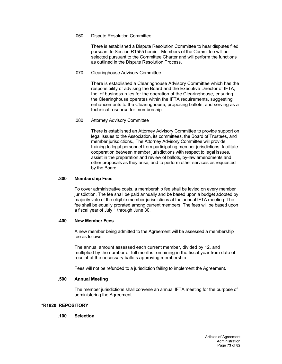## .060 Dispute Resolution Committee

There is established a Dispute Resolution Committee to hear disputes filed pursuant to Section R1555 herein. Members of the Committee will be selected pursuant to the Committee Charter and will perform the functions as outlined in the Dispute Resolution Process.

## .070 Clearinghouse Advisory Committee

There is established a Clearinghouse Advisory Committee which has the responsibility of advising the Board and the Executive Director of IFTA, Inc. of business rules for the operation of the Clearinghouse, ensuring the Clearinghouse operates within the IFTA requirements, suggesting enhancements to the Clearinghouse, proposing ballots, and serving as a technical resource for membership.

## .080 Attorney Advisory Committee

There is established an Attorney Advisory Committee to provide support on legal issues to the Association, its committees, the Board of Trustees, and member jurisdictions., The Attorney Advisory Committee will provide training to legal personnel from participating member jurisdictions, facilitate cooperation between member jurisdictions with respect to legal issues, assist in the preparation and review of ballots, by-law amendments and other proposals as they arise, and to perform other services as requested by the Board.

## **.300 Membership Fees**

To cover administrative costs, a membership fee shall be levied on every member jurisdiction. The fee shall be paid annually and be based upon a budget adopted by majority vote of the eligible member jurisdictions at the annual IFTA meeting. The fee shall be equally prorated among current members. The fees will be based upon a fiscal year of July 1 through June 30.

#### **.400 New Member Fees**

A new member being admitted to the Agreement will be assessed a membership fee as follows:

The annual amount assessed each current member, divided by 12, and multiplied by the number of full months remaining in the fiscal year from date of receipt of the necessary ballots approving membership.

Fees will not be refunded to a jurisdiction failing to implement the Agreement.

## **.500 Annual Meeting**

The member jurisdictions shall convene an annual IFTA meeting for the purpose of administering the Agreement.

## **\*R1820 REPOSITORY**

# **.100 Selection**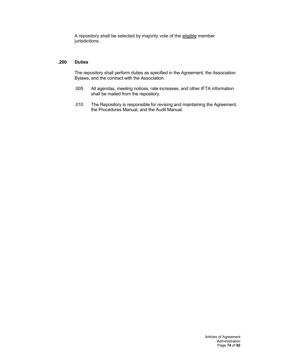A repository shall be selected by majority vote of the eligible member jurisdictions.

## **.200 Duties**

The repository shall perform duties as specified in the Agreement, the Association Bylaws, and the contract with the Association.

- .005 All agendas, meeting notices, rate increases, and other IFTA information shall be mailed from the repository.
- .010 The Repository is responsible for revising and maintaining the Agreement, the Procedures Manual, and the Audit Manual.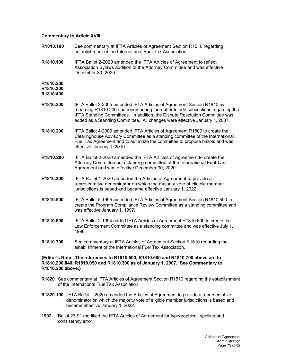## **Commentary to Article XVIII**

- **R1810.100** See commentary at IFTA Articles of Agreement Section R1510 regarding establishment of the International Fuel Tax Association **R1810.100** IFTA Ballot 2-2020 amended the IFTA Articles of Agreement to reflect
- Association Bylaws addition of the Attorney Committee and was effective December 30, 2020.

**R1810.200**

**R1810.300 R1810.400**

- **R1810.200** IFTA Ballot 2-2005 amended IFTA Articles of Agreement Section R1810 by renaming R1810.200 and renumbering thereafter to add subsections regarding the IFTA Standing Committees. In addition, the Dispute Resolution Committee was added as a Standing Committee. All changes were effective January 1, 2007.
- **R1810.200** IFTA Ballot 4-2009 amended IFTA Articles of Agreement R1800 to create the Clearinghouse Advisory Committee as a standing committee of the International Fuel Tax Agreement and to authorize the committee to propose ballots and was effective January 1, 2010.
- **R1810.200** IFTA Ballot 2-2020 amended the IFTA Articles of Agreement to create the Attorney Committee as a standing committee of the International Fuel Tax Agreement and was effective December 30, 2020.
- **R1810.300** IFTA Ballot 1-2020 amended the Articles of Agreement to provide a representative denominator on which the majority vote of eligible member jurisdictions is based and became effective January 1, 2022.
- **R1810.500** IFTA Ballot 5-1995 amended IFTA Articles of Agreement Section R1810.500 to create the Program Compliance Review Committee as a standing committee and was effective January 1, 1997.
- **R1810.600** IFTA Ballot 2-1994 added IFTA Articles of Agreement R1810.600 to create the Law Enforcement Committee as a standing committee and was effective July 1, 1996.
- **R1810.700** See commentary at IFTA Articles of Agreement Section R1510 regarding the establishment of the International Fuel Tax Association.

## **{Editor's Note: The references to R1810.500, R1810.600 and R1810.700 above are to R1810.200.040, R1810.050 and R1810.300 as of January 1, 2007. See Commentary to R1810.200 above.}**

- **R1820** See commentary at IFTA Articles of Agreement Section R1510 regarding the establishment of the International Fuel Tax Association.
- **R1820.100** IFTA Ballot 1-2020 amended the Articles of Agreement to provide a representative denominator on which the majority vote of eligible member jurisdictions is based and became effective January 1, 2022.
- **1992** Ballot 27-91 modified the IFTA Articles of Agreement for typographical, spelling and consistency error.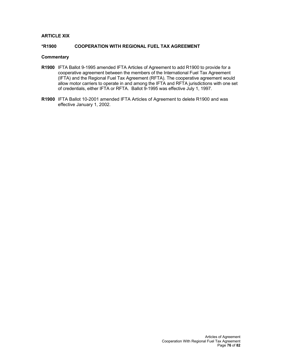## **ARTICLE XIX**

## **\*R1900 COOPERATION WITH REGIONAL FUEL TAX AGREEMENT**

## **Commentary**

- **R1900** IFTA Ballot 9-1995 amended IFTA Articles of Agreement to add R1900 to provide for a cooperative agreement between the members of the International Fuel Tax Agreement (IFTA) and the Regional Fuel Tax Agreement (RFTA). The cooperative agreement would allow motor carriers to operate in and among the IFTA and RFTA jurisdictions with one set of credentials, either IFTA or RFTA. Ballot 9-1995 was effective July 1, 1997.
- **R1900** IFTA Ballot 10-2001 amended IFTA Articles of Agreement to delete R1900 and was effective January 1, 2002.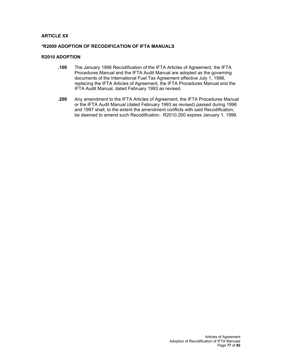## **ARTICLE XX**

## **\*R2000 ADOPTION OF RECODIFICATION OF IFTA MANUALS**

## **R2010 ADOPTION**

- **.100** The January 1996 Recodification of the IFTA Articles of Agreement, the IFTA Procedures Manual and the IFTA Audit Manual are adopted as the governing documents of the International Fuel Tax Agreement effective July 1, 1998, replacing the IFTA Articles of Agreement, the IFTA Procedures Manual and the IFTA Audit Manual, dated February 1993 as revised.
- **.200** Any amendment to the IFTA Articles of Agreement, the IFTA Procedures Manual or the IFTA Audit Manual (dated February 1993 as revised) passed during 1996 and 1997 shall, to the extent the amendment conflicts with said Recodification, be deemed to amend such Recodification. R2010.200 expires January 1, 1999.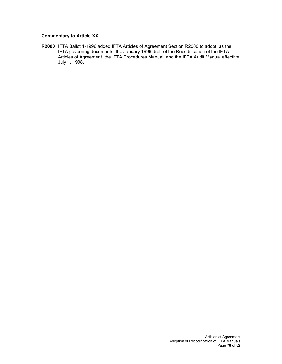# **Commentary to Article XX**

**R2000** IFTA Ballot 1-1996 added IFTA Articles of Agreement Section R2000 to adopt, as the IFTA governing documents, the January 1996 draft of the Recodification of the IFTA Articles of Agreement, the IFTA Procedures Manual, and the IFTA Audit Manual effective July 1, 1998.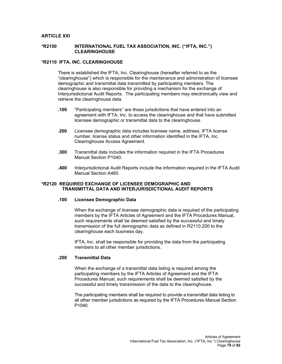## **ARTICLE XXI**

#### **\*R2100 INTERNATIONAL FUEL TAX ASSOCIATION, INC. ("IFTA, INC.") CLEARINGHOUSE**

## **\*R2110 IFTA, INC. CLEARINGHOUSE**

There is established the IFTA, Inc. Clearinghouse (hereafter referred to as the "clearinghouse") which is responsible for the maintenance and administration of licensee demographic and transmittal data transmitted by participating members. The clearinghouse is also responsible for providing a mechanism for the exchange of Interjurisdictional Audit Reports. The participating members may electronically view and retrieve the clearinghouse data.

- **.100** "Participating members" are those jurisdictions that have entered into an agreement with IFTA, Inc. to access the clearinghouse and that have submitted licensee demographic or transmittal data to the clearinghouse.
- **.200** Licensee demographic data includes licensee name, address, IFTA license number, license status and other information identified in the IFTA, Inc. Clearinghouse Access Agreement.
- **.300** Transmittal data includes the information required in the IFTA Procedures Manual Section P1040.
- **.400** Interjurisdictional Audit Reports include the information required in the IFTA Audit Manual Section A460.

## **\*R2120 REQUIRED EXCHANGE OF LICENSEE DEMOGRAPHIC AND TRANSMITTAL DATA AND INTERJURISDICTIONAL AUDIT REPORTS**

## **.100 Licensee Demographic Data**

When the exchange of licensee demographic data is required of the participating members by the IFTA Articles of Agreement and the IFTA Procedures Manual, such requirements shall be deemed satisfied by the successful and timely transmission of the full demographic data as defined in R2110.200 to the clearinghouse each business day.

IFTA, Inc. shall be responsible for providing the data from the participating members to all other member jurisdictions.

## **.200 Transmittal Data**

When the exchange of a transmittal data listing is required among the participating members by the IFTA Articles of Agreement and the IFTA Procedures Manual, such requirements shall be deemed satisfied by the successful and timely transmission of the data to the clearinghouse.

The participating members shall be required to provide a transmittal data listing to all other member jurisdictions as required by the IFTA Procedures Manual Section P1040.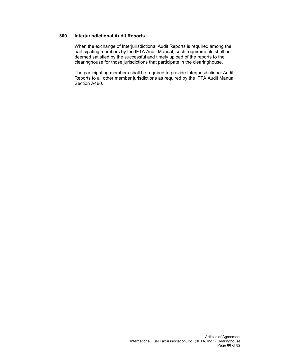## **.300 Interjurisdictional Audit Reports**

When the exchange of Interjurisdictional Audit Reports is required among the participating members by the IFTA Audit Manual, such requirements shall be deemed satisfied by the successful and timely upload of the reports to the clearinghouse for those jurisdictions that participate in the clearinghouse.

The participating members shall be required to provide Interjurisdictional Audit Reports to all other member jurisdictions as required by the IFTA Audit Manual Section A460.